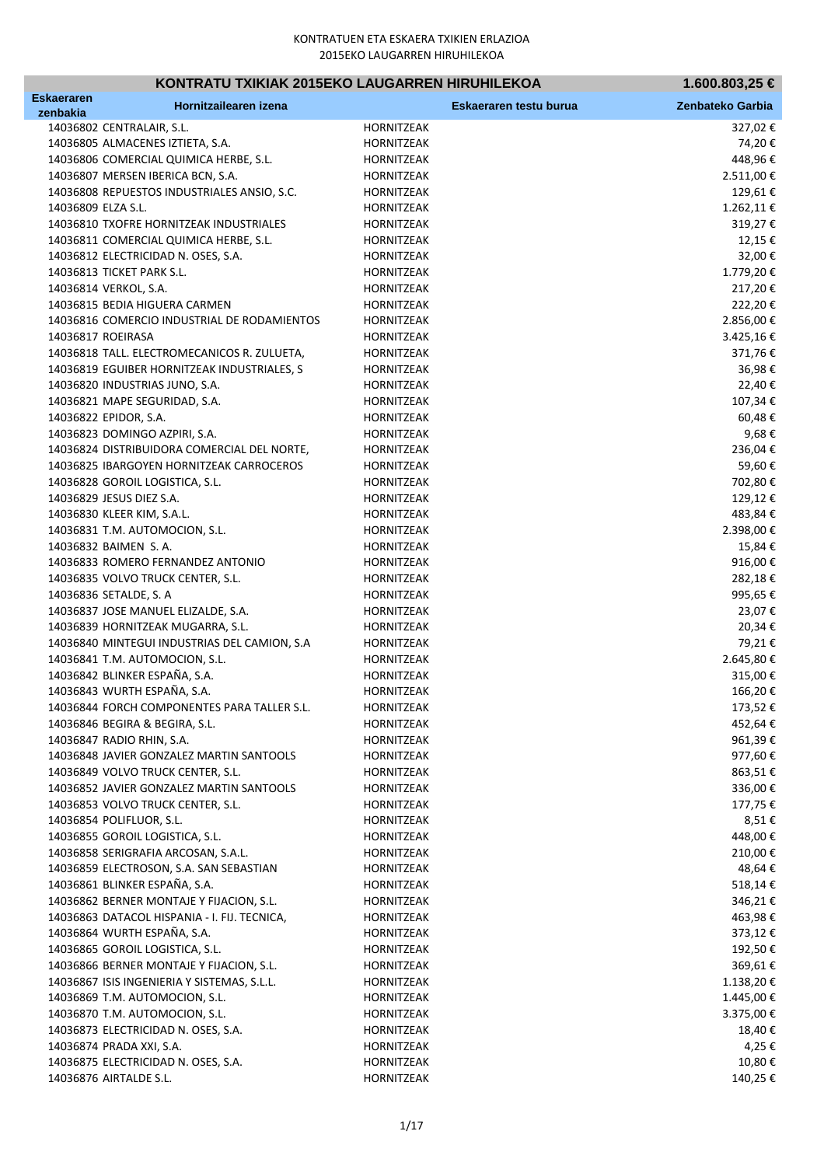| KONTRATU TXIKIAK 2015EKO LAUGARREN HIRUHILEKOA |                                              |                   | 1.600.803,25 €         |                  |
|------------------------------------------------|----------------------------------------------|-------------------|------------------------|------------------|
| Eskaeraren<br>zenbakia                         | Hornitzailearen izena                        |                   | Eskaeraren testu burua | Zenbateko Garbia |
|                                                | 14036802 CENTRALAIR, S.L.                    | <b>HORNITZEAK</b> |                        | 327,02€          |
|                                                | 14036805 ALMACENES IZTIETA, S.A.             | HORNITZEAK        |                        | 74,20€           |
|                                                | 14036806 COMERCIAL QUIMICA HERBE, S.L.       | HORNITZEAK        |                        | 448,96€          |
|                                                | 14036807 MERSEN IBERICA BCN, S.A.            | HORNITZEAK        |                        | 2.511,00€        |
|                                                | 14036808 REPUESTOS INDUSTRIALES ANSIO, S.C.  | HORNITZEAK        |                        | 129,61€          |
| 14036809 ELZA S.L.                             |                                              | HORNITZEAK        |                        | 1.262,11€        |
|                                                | 14036810 TXOFRE HORNITZEAK INDUSTRIALES      | HORNITZEAK        |                        | 319,27€          |
|                                                | 14036811 COMERCIAL QUIMICA HERBE, S.L.       | HORNITZEAK        |                        | 12,15€           |
|                                                | 14036812 ELECTRICIDAD N. OSES, S.A.          | HORNITZEAK        |                        | 32,00€           |
|                                                | 14036813 TICKET PARK S.L.                    | HORNITZEAK        |                        | 1.779,20€        |
|                                                | 14036814 VERKOL, S.A.                        | HORNITZEAK        |                        | 217,20€          |
|                                                | 14036815 BEDIA HIGUERA CARMEN                | HORNITZEAK        |                        | 222,20€          |
|                                                | 14036816 COMERCIO INDUSTRIAL DE RODAMIENTOS  | HORNITZEAK        |                        | 2.856,00€        |
|                                                | 14036817 ROEIRASA                            | HORNITZEAK        |                        | 3.425,16€        |
|                                                | 14036818 TALL. ELECTROMECANICOS R. ZULUETA,  | HORNITZEAK        |                        | 371,76€          |
|                                                | 14036819 EGUIBER HORNITZEAK INDUSTRIALES, S  | HORNITZEAK        |                        | 36,98€           |
|                                                | 14036820 INDUSTRIAS JUNO, S.A.               | HORNITZEAK        |                        | 22,40€           |
|                                                | 14036821 MAPE SEGURIDAD, S.A.                | HORNITZEAK        |                        | 107,34€          |
|                                                | 14036822 EPIDOR, S.A.                        | HORNITZEAK        |                        | 60,48€           |
|                                                | 14036823 DOMINGO AZPIRI, S.A.                | HORNITZEAK        |                        | 9,68€            |
|                                                | 14036824 DISTRIBUIDORA COMERCIAL DEL NORTE,  | HORNITZEAK        |                        | 236,04€          |
|                                                | 14036825 IBARGOYEN HORNITZEAK CARROCEROS     | HORNITZEAK        |                        | 59,60€           |
|                                                | 14036828 GOROIL LOGISTICA, S.L.              | HORNITZEAK        |                        | 702,80€          |
|                                                | 14036829 JESUS DIEZ S.A.                     | HORNITZEAK        |                        | 129,12€          |
|                                                | 14036830 KLEER KIM, S.A.L.                   | HORNITZEAK        |                        | 483,84€          |
|                                                | 14036831 T.M. AUTOMOCION, S.L.               | HORNITZEAK        |                        | 2.398,00€        |
|                                                | 14036832 BAIMEN S.A.                         | HORNITZEAK        |                        | 15,84€           |
|                                                | 14036833 ROMERO FERNANDEZ ANTONIO            | HORNITZEAK        |                        | 916,00€          |
|                                                | 14036835 VOLVO TRUCK CENTER, S.L.            | HORNITZEAK        |                        | 282,18€          |
|                                                | 14036836 SETALDE, S. A                       | HORNITZEAK        |                        | 995,65€          |
|                                                | 14036837 JOSE MANUEL ELIZALDE, S.A.          | HORNITZEAK        |                        | 23,07€           |
|                                                | 14036839 HORNITZEAK MUGARRA, S.L.            | HORNITZEAK        |                        | 20,34€           |
|                                                | 14036840 MINTEGUI INDUSTRIAS DEL CAMION, S.A | HORNITZEAK        |                        | 79,21€           |
|                                                | 14036841 T.M. AUTOMOCION, S.L.               | <b>HORNITZEAK</b> |                        | 2.645,80€        |
|                                                | 14036842 BLINKER ESPAÑA, S.A.                | HORNITZEAK        |                        | 315,00€          |
|                                                | 14036843 WURTH ESPAÑA, S.A.                  | <b>HORNITZEAK</b> |                        | 166,20€          |
|                                                | 14036844 FORCH COMPONENTES PARA TALLER S.L.  | HORNITZEAK        |                        | 173,52€          |
|                                                | 14036846 BEGIRA & BEGIRA, S.L.               | HORNITZEAK        |                        | 452,64€          |
|                                                | 14036847 RADIO RHIN, S.A.                    | HORNITZEAK        |                        | 961,39€          |
|                                                | 14036848 JAVIER GONZALEZ MARTIN SANTOOLS     | HORNITZEAK        |                        | 977,60€          |
|                                                | 14036849 VOLVO TRUCK CENTER, S.L.            | HORNITZEAK        |                        | 863,51€          |
|                                                | 14036852 JAVIER GONZALEZ MARTIN SANTOOLS     | HORNITZEAK        |                        | 336,00€          |
|                                                | 14036853 VOLVO TRUCK CENTER, S.L.            | HORNITZEAK        |                        | 177,75€          |
|                                                | 14036854 POLIFLUOR, S.L.                     | HORNITZEAK        |                        | 8,51€            |
|                                                | 14036855 GOROIL LOGISTICA, S.L.              | HORNITZEAK        |                        | 448,00€          |
|                                                | 14036858 SERIGRAFIA ARCOSAN, S.A.L.          | HORNITZEAK        |                        | 210,00€          |
|                                                | 14036859 ELECTROSON, S.A. SAN SEBASTIAN      | HORNITZEAK        |                        | 48,64€           |
|                                                | 14036861 BLINKER ESPAÑA, S.A.                | HORNITZEAK        |                        | 518,14€          |
|                                                | 14036862 BERNER MONTAJE Y FIJACION, S.L.     | HORNITZEAK        |                        | 346,21€          |
|                                                | 14036863 DATACOL HISPANIA - I. FIJ. TECNICA, | HORNITZEAK        |                        | 463,98€          |
|                                                | 14036864 WURTH ESPAÑA, S.A.                  | HORNITZEAK        |                        | 373,12€          |
|                                                | 14036865 GOROIL LOGISTICA, S.L.              | HORNITZEAK        |                        | 192,50€          |
|                                                | 14036866 BERNER MONTAJE Y FIJACION, S.L.     | HORNITZEAK        |                        | 369,61€          |
|                                                | 14036867 ISIS INGENIERIA Y SISTEMAS, S.L.L.  | HORNITZEAK        |                        | 1.138,20€        |
|                                                | 14036869 T.M. AUTOMOCION, S.L.               | HORNITZEAK        |                        | 1.445,00€        |
|                                                | 14036870 T.M. AUTOMOCION, S.L.               | HORNITZEAK        |                        | 3.375,00€        |
|                                                | 14036873 ELECTRICIDAD N. OSES, S.A.          | HORNITZEAK        |                        | 18,40€           |
|                                                | 14036874 PRADA XXI, S.A.                     | HORNITZEAK        |                        | 4,25€            |
|                                                | 14036875 ELECTRICIDAD N. OSES, S.A.          | HORNITZEAK        |                        | 10,80€           |
|                                                | 14036876 AIRTALDE S.L.                       | HORNITZEAK        |                        | 140,25€          |
|                                                |                                              |                   |                        |                  |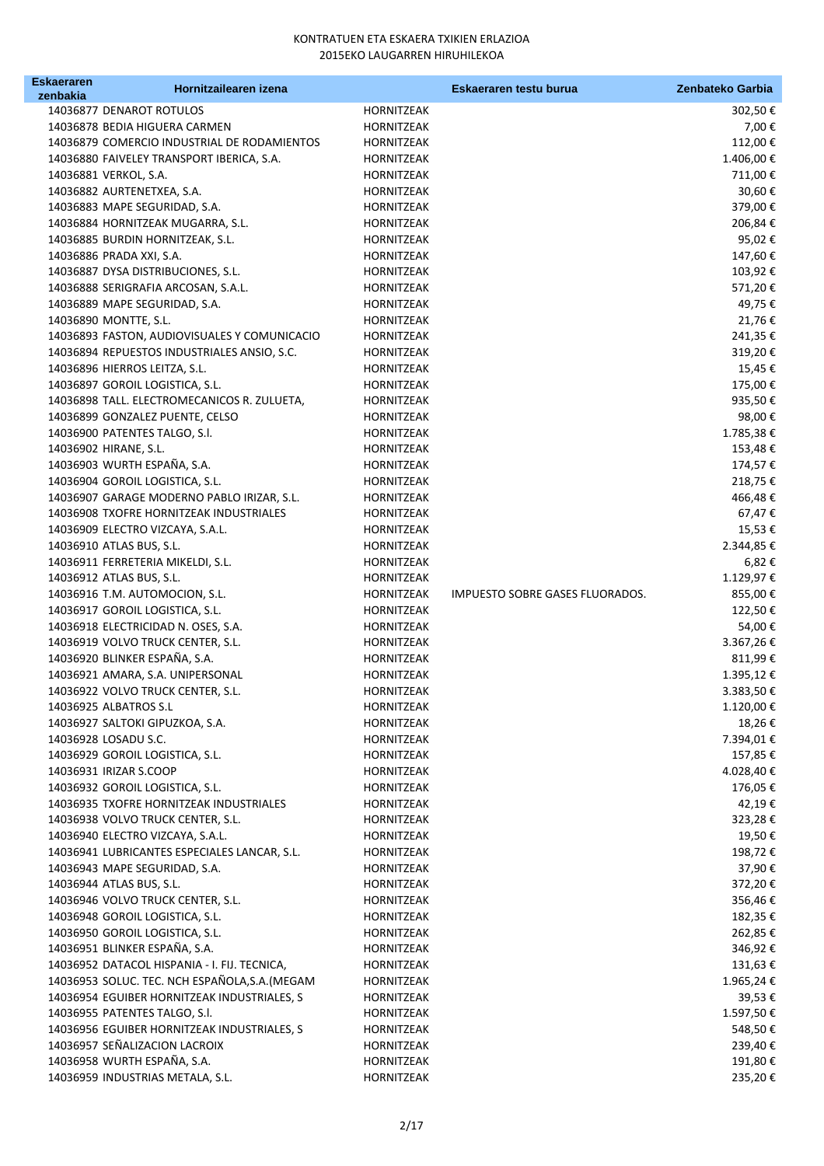| Eskaeraren | Hornitzailearen izena                          |                   | Eskaeraren testu burua          | Zenbateko Garbia |
|------------|------------------------------------------------|-------------------|---------------------------------|------------------|
| zenbakia   |                                                |                   |                                 |                  |
|            | 14036877 DENAROT ROTULOS                       | HORNITZEAK        |                                 | 302,50€          |
|            | 14036878 BEDIA HIGUERA CARMEN                  | HORNITZEAK        |                                 | 7,00 €           |
|            | 14036879 COMERCIO INDUSTRIAL DE RODAMIENTOS    | HORNITZEAK        |                                 | 112,00€          |
|            | 14036880 FAIVELEY TRANSPORT IBERICA, S.A.      | HORNITZEAK        |                                 | 1.406,00€        |
|            | 14036881 VERKOL, S.A.                          | HORNITZEAK        |                                 | 711,00€          |
|            | 14036882 AURTENETXEA, S.A.                     | HORNITZEAK        |                                 | 30,60€           |
|            | 14036883 MAPE SEGURIDAD, S.A.                  | HORNITZEAK        |                                 | 379,00€          |
|            | 14036884 HORNITZEAK MUGARRA, S.L.              | HORNITZEAK        |                                 | 206,84€          |
|            | 14036885 BURDIN HORNITZEAK, S.L.               | HORNITZEAK        |                                 | 95,02€           |
|            | 14036886 PRADA XXI, S.A.                       | HORNITZEAK        |                                 | 147,60€          |
|            | 14036887 DYSA DISTRIBUCIONES, S.L.             | HORNITZEAK        |                                 | 103,92€          |
|            | 14036888 SERIGRAFIA ARCOSAN, S.A.L.            | HORNITZEAK        |                                 | 571,20€          |
|            | 14036889 MAPE SEGURIDAD, S.A.                  | HORNITZEAK        |                                 | 49,75€           |
|            | 14036890 MONTTE, S.L.                          | HORNITZEAK        |                                 | 21,76€           |
|            | 14036893 FASTON, AUDIOVISUALES Y COMUNICACIO   | HORNITZEAK        |                                 | 241,35€          |
|            | 14036894 REPUESTOS INDUSTRIALES ANSIO, S.C.    | HORNITZEAK        |                                 | 319,20€          |
|            | 14036896 HIERROS LEITZA, S.L.                  | HORNITZEAK        |                                 | 15,45€           |
|            | 14036897 GOROIL LOGISTICA, S.L.                | HORNITZEAK        |                                 | 175,00€          |
|            | 14036898 TALL. ELECTROMECANICOS R. ZULUETA,    | HORNITZEAK        |                                 | 935,50€          |
|            | 14036899 GONZALEZ PUENTE, CELSO                | <b>HORNITZEAK</b> |                                 | 98,00€           |
|            | 14036900 PATENTES TALGO, S.I.                  | HORNITZEAK        |                                 | 1.785,38€        |
|            | 14036902 HIRANE, S.L.                          | <b>HORNITZEAK</b> |                                 | 153,48€          |
|            | 14036903 WURTH ESPAÑA, S.A.                    | HORNITZEAK        |                                 | 174,57€          |
|            | 14036904 GOROIL LOGISTICA, S.L.                | <b>HORNITZEAK</b> |                                 | 218,75€          |
|            | 14036907 GARAGE MODERNO PABLO IRIZAR, S.L.     | <b>HORNITZEAK</b> |                                 | 466,48€          |
|            | 14036908 TXOFRE HORNITZEAK INDUSTRIALES        | <b>HORNITZEAK</b> |                                 | 67,47€           |
|            | 14036909 ELECTRO VIZCAYA, S.A.L.               | HORNITZEAK        |                                 | 15,53€           |
|            | 14036910 ATLAS BUS, S.L.                       | HORNITZEAK        |                                 | 2.344,85 €       |
|            | 14036911 FERRETERIA MIKELDI, S.L.              | HORNITZEAK        |                                 | 6,82€            |
|            | 14036912 ATLAS BUS, S.L.                       | HORNITZEAK        |                                 | 1.129,97€        |
|            | 14036916 T.M. AUTOMOCION, S.L.                 | HORNITZEAK        | IMPUESTO SOBRE GASES FLUORADOS. | 855,00€          |
|            | 14036917 GOROIL LOGISTICA, S.L.                | HORNITZEAK        |                                 | 122,50€          |
|            | 14036918 ELECTRICIDAD N. OSES, S.A.            | HORNITZEAK        |                                 | 54,00€           |
|            | 14036919 VOLVO TRUCK CENTER, S.L.              | HORNITZEAK        |                                 | 3.367,26€        |
|            | 14036920 BLINKER ESPAÑA, S.A.                  | HORNITZEAK        |                                 | 811,99€          |
|            | 14036921 AMARA, S.A. UNIPERSONAL               | <b>HORNITZEAK</b> |                                 | 1.395,12€        |
|            | 14036922 VOLVO TRUCK CENTER, S.L.              | HORNITZEAK        |                                 | 3.383,50€        |
|            | 14036925 ALBATROS S.L                          | HORNITZEAK        |                                 | 1.120,00 €       |
|            | 14036927 SALTOKI GIPUZKOA, S.A.                | <b>HORNITZEAK</b> |                                 | 18,26€           |
|            | 14036928 LOSADU S.C.                           | HORNITZEAK        |                                 | 7.394,01€        |
|            | 14036929 GOROIL LOGISTICA, S.L.                | HORNITZEAK        |                                 | 157,85€          |
|            | 14036931 IRIZAR S.COOP                         | HORNITZEAK        |                                 | 4.028,40€        |
|            | 14036932 GOROIL LOGISTICA, S.L.                | HORNITZEAK        |                                 | 176,05€          |
|            | 14036935 TXOFRE HORNITZEAK INDUSTRIALES        | HORNITZEAK        |                                 | 42,19€           |
|            | 14036938 VOLVO TRUCK CENTER, S.L.              | HORNITZEAK        |                                 |                  |
|            | 14036940 ELECTRO VIZCAYA, S.A.L.               |                   |                                 | 323,28€          |
|            |                                                | HORNITZEAK        |                                 | 19,50€           |
|            | 14036941 LUBRICANTES ESPECIALES LANCAR, S.L.   | HORNITZEAK        |                                 | 198,72€          |
|            | 14036943 MAPE SEGURIDAD, S.A.                  | HORNITZEAK        |                                 | 37,90€           |
|            | 14036944 ATLAS BUS, S.L.                       | HORNITZEAK        |                                 | 372,20€          |
|            | 14036946 VOLVO TRUCK CENTER, S.L.              | HORNITZEAK        |                                 | 356,46€          |
|            | 14036948 GOROIL LOGISTICA, S.L.                | HORNITZEAK        |                                 | 182,35€          |
|            | 14036950 GOROIL LOGISTICA, S.L.                | HORNITZEAK        |                                 | 262,85€          |
|            | 14036951 BLINKER ESPAÑA, S.A.                  | HORNITZEAK        |                                 | 346,92€          |
|            | 14036952 DATACOL HISPANIA - I. FIJ. TECNICA,   | HORNITZEAK        |                                 | 131,63€          |
|            | 14036953 SOLUC. TEC. NCH ESPAÑOLA, S.A. (MEGAM | HORNITZEAK        |                                 | 1.965,24€        |
|            | 14036954 EGUIBER HORNITZEAK INDUSTRIALES, S    | HORNITZEAK        |                                 | 39,53€           |
|            | 14036955 PATENTES TALGO, S.I.                  | HORNITZEAK        |                                 | 1.597,50€        |
|            | 14036956 EGUIBER HORNITZEAK INDUSTRIALES, S    | HORNITZEAK        |                                 | 548,50€          |
|            | 14036957 SEÑALIZACION LACROIX                  | HORNITZEAK        |                                 | 239,40€          |
|            | 14036958 WURTH ESPAÑA, S.A.                    | HORNITZEAK        |                                 | 191,80€          |
|            | 14036959 INDUSTRIAS METALA, S.L.               | HORNITZEAK        |                                 | 235,20€          |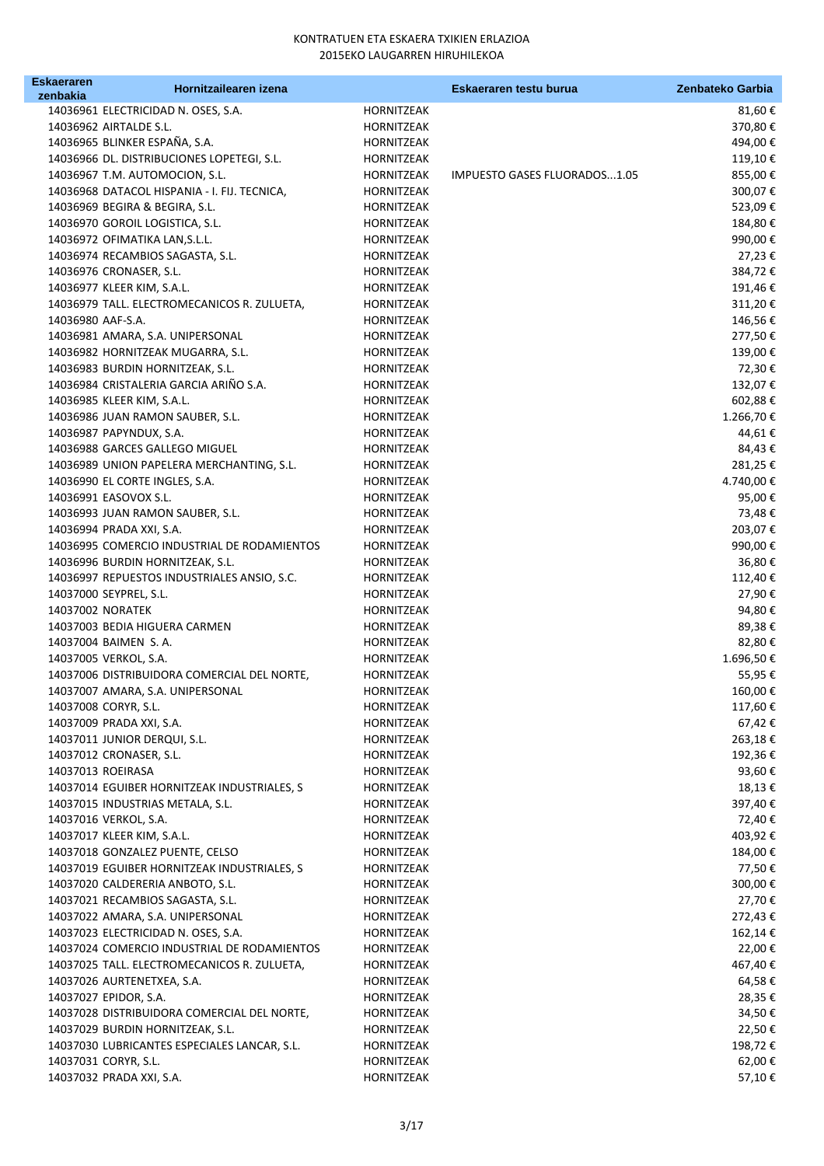| <b>Eskaeraren</b> | Hornitzailearen izena                                                           |                          | Eskaeraren testu burua       | Zenbateko Garbia  |
|-------------------|---------------------------------------------------------------------------------|--------------------------|------------------------------|-------------------|
| zenbakia          | 14036961 ELECTRICIDAD N. OSES, S.A.                                             | HORNITZEAK               |                              | 81,60€            |
|                   | 14036962 AIRTALDE S.L.                                                          | HORNITZEAK               |                              | 370,80€           |
|                   | 14036965 BLINKER ESPAÑA, S.A.                                                   | HORNITZEAK               |                              | 494,00€           |
|                   | 14036966 DL. DISTRIBUCIONES LOPETEGI, S.L.                                      | HORNITZEAK               |                              | 119,10€           |
|                   | 14036967 T.M. AUTOMOCION, S.L.                                                  | HORNITZEAK               | IMPUESTO GASES FLUORADOS1.05 | 855,00€           |
|                   | 14036968 DATACOL HISPANIA - I. FIJ. TECNICA,                                    | HORNITZEAK               |                              | 300,07€           |
|                   | 14036969 BEGIRA & BEGIRA, S.L.                                                  | HORNITZEAK               |                              | 523,09€           |
|                   | 14036970 GOROIL LOGISTICA, S.L.                                                 | HORNITZEAK               |                              | 184,80€           |
|                   | 14036972 OFIMATIKA LAN, S.L.L.                                                  | HORNITZEAK               |                              | 990,00€           |
|                   | 14036974 RECAMBIOS SAGASTA, S.L.                                                | HORNITZEAK               |                              | 27,23€            |
|                   | 14036976 CRONASER, S.L.                                                         | HORNITZEAK               |                              | 384,72€           |
|                   | 14036977 KLEER KIM, S.A.L.                                                      | HORNITZEAK               |                              | 191,46€           |
|                   | 14036979 TALL. ELECTROMECANICOS R. ZULUETA,                                     | HORNITZEAK               |                              | 311,20€           |
| 14036980 AAF-S.A. |                                                                                 | HORNITZEAK               |                              | 146,56€           |
|                   | 14036981 AMARA, S.A. UNIPERSONAL                                                | HORNITZEAK               |                              | 277,50€           |
|                   | 14036982 HORNITZEAK MUGARRA, S.L.                                               | HORNITZEAK               |                              | 139,00€           |
|                   | 14036983 BURDIN HORNITZEAK, S.L.                                                | HORNITZEAK               |                              | 72,30€            |
|                   | 14036984 CRISTALERIA GARCIA ARIÑO S.A.                                          | HORNITZEAK               |                              | 132,07€           |
|                   | 14036985 KLEER KIM, S.A.L.                                                      | HORNITZEAK               |                              | 602,88€           |
|                   | 14036986 JUAN RAMON SAUBER, S.L.                                                | HORNITZEAK               |                              | 1.266,70€         |
|                   | 14036987 PAPYNDUX, S.A.                                                         | HORNITZEAK               |                              | 44,61€            |
|                   | 14036988 GARCES GALLEGO MIGUEL                                                  | HORNITZEAK               |                              | 84,43€            |
|                   | 14036989 UNION PAPELERA MERCHANTING, S.L.                                       | HORNITZEAK               |                              | 281,25€           |
|                   | 14036990 EL CORTE INGLES, S.A.                                                  | HORNITZEAK               |                              | 4.740,00 €        |
|                   | 14036991 EASOVOX S.L.                                                           | HORNITZEAK               |                              | 95,00€            |
|                   | 14036993 JUAN RAMON SAUBER, S.L.                                                | <b>HORNITZEAK</b>        |                              | 73,48€            |
|                   | 14036994 PRADA XXI, S.A.                                                        | HORNITZEAK               |                              | 203,07€           |
|                   | 14036995 COMERCIO INDUSTRIAL DE RODAMIENTOS                                     | HORNITZEAK               |                              | 990,00€           |
|                   | 14036996 BURDIN HORNITZEAK, S.L.<br>14036997 REPUESTOS INDUSTRIALES ANSIO, S.C. | HORNITZEAK<br>HORNITZEAK |                              | 36,80€            |
|                   | 14037000 SEYPREL, S.L.                                                          | HORNITZEAK               |                              | 112,40€<br>27,90€ |
|                   | 14037002 NORATEK                                                                | HORNITZEAK               |                              | 94,80€            |
|                   | 14037003 BEDIA HIGUERA CARMEN                                                   | HORNITZEAK               |                              | 89,38€            |
|                   | 14037004 BAIMEN S.A.                                                            | HORNITZEAK               |                              | 82,80€            |
|                   | 14037005 VERKOL, S.A.                                                           | HORNITZEAK               |                              | 1.696,50€         |
|                   | 14037006 DISTRIBUIDORA COMERCIAL DEL NORTE,                                     | HORNITZEAK               |                              | 55,95€            |
|                   | 14037007 AMARA, S.A. UNIPERSONAL                                                | HORNITZEAK               |                              | 160,00€           |
|                   | 14037008 CORYR, S.L.                                                            | HORNITZEAK               |                              | 117,60€           |
|                   | 14037009 PRADA XXI, S.A.                                                        | HORNITZEAK               |                              | 67,42€            |
|                   | 14037011 JUNIOR DERQUI, S.L.                                                    | HORNITZEAK               |                              | 263,18€           |
|                   | 14037012 CRONASER, S.L.                                                         | HORNITZEAK               |                              | 192,36€           |
|                   | 14037013 ROEIRASA                                                               | HORNITZEAK               |                              | 93,60€            |
|                   | 14037014 EGUIBER HORNITZEAK INDUSTRIALES, S                                     | HORNITZEAK               |                              | 18,13€            |
|                   | 14037015 INDUSTRIAS METALA, S.L.                                                | <b>HORNITZEAK</b>        |                              | 397,40€           |
|                   | 14037016 VERKOL, S.A.                                                           | HORNITZEAK               |                              | 72,40€            |
|                   | 14037017 KLEER KIM, S.A.L.                                                      | HORNITZEAK               |                              | 403,92€           |
|                   | 14037018 GONZALEZ PUENTE, CELSO                                                 | HORNITZEAK               |                              | 184,00€           |
|                   | 14037019 EGUIBER HORNITZEAK INDUSTRIALES, S                                     | HORNITZEAK               |                              | 77,50€            |
|                   | 14037020 CALDERERIA ANBOTO, S.L.                                                | HORNITZEAK               |                              | 300,00€           |
|                   | 14037021 RECAMBIOS SAGASTA, S.L.                                                | HORNITZEAK               |                              | 27,70€            |
|                   | 14037022 AMARA, S.A. UNIPERSONAL                                                | HORNITZEAK               |                              | 272,43€           |
|                   | 14037023 ELECTRICIDAD N. OSES, S.A.                                             | HORNITZEAK               |                              | 162,14€           |
|                   | 14037024 COMERCIO INDUSTRIAL DE RODAMIENTOS                                     | HORNITZEAK               |                              | 22,00€            |
|                   | 14037025 TALL. ELECTROMECANICOS R. ZULUETA,                                     | HORNITZEAK               |                              | 467,40€           |
|                   | 14037026 AURTENETXEA, S.A.                                                      | HORNITZEAK               |                              | 64,58€            |
|                   | 14037027 EPIDOR, S.A.                                                           | HORNITZEAK               |                              | 28,35€            |
|                   | 14037028 DISTRIBUIDORA COMERCIAL DEL NORTE,<br>14037029 BURDIN HORNITZEAK, S.L. | HORNITZEAK<br>HORNITZEAK |                              | 34,50€<br>22,50€  |
|                   | 14037030 LUBRICANTES ESPECIALES LANCAR, S.L.                                    | HORNITZEAK               |                              | 198,72€           |
|                   | 14037031 CORYR, S.L.                                                            | HORNITZEAK               |                              | 62,00€            |
|                   | 14037032 PRADA XXI, S.A.                                                        | HORNITZEAK               |                              | 57,10€            |
|                   |                                                                                 |                          |                              |                   |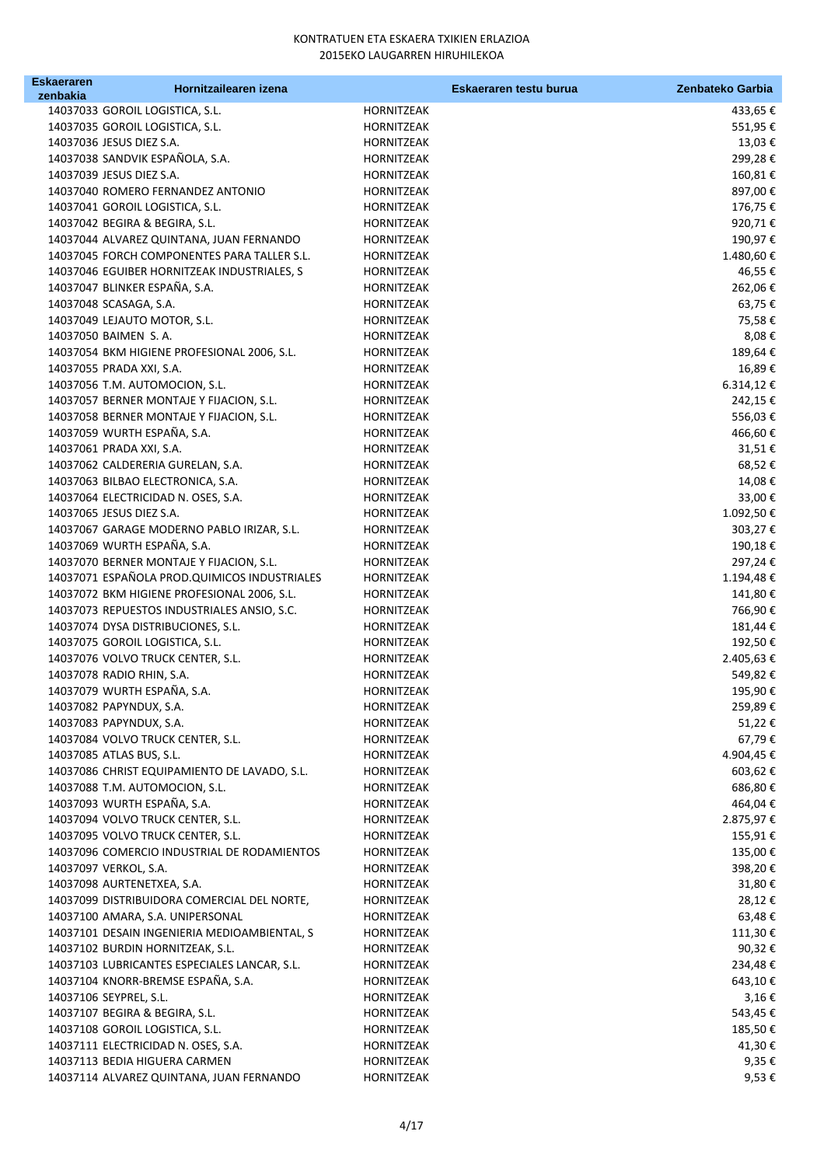| <b>Eskaeraren</b> | Hornitzailearen izena                              |                                 | Eskaeraren testu burua | Zenbateko Garbia |
|-------------------|----------------------------------------------------|---------------------------------|------------------------|------------------|
| zenbakia          | 14037033 GOROIL LOGISTICA, S.L.                    | HORNITZEAK                      |                        | 433,65 €         |
|                   | 14037035 GOROIL LOGISTICA, S.L.                    | HORNITZEAK                      |                        | 551,95€          |
|                   | 14037036 JESUS DIEZ S.A.                           | HORNITZEAK                      |                        | 13,03€           |
|                   | 14037038 SANDVIK ESPAÑOLA, S.A.                    | HORNITZEAK                      |                        | 299,28€          |
|                   | 14037039 JESUS DIEZ S.A.                           | HORNITZEAK                      |                        | 160,81€          |
|                   | 14037040 ROMERO FERNANDEZ ANTONIO                  | HORNITZEAK                      |                        | 897,00€          |
|                   | 14037041 GOROIL LOGISTICA, S.L.                    | HORNITZEAK                      |                        | 176,75€          |
|                   | 14037042 BEGIRA & BEGIRA, S.L.                     | HORNITZEAK                      |                        | 920,71€          |
|                   | 14037044 ALVAREZ QUINTANA, JUAN FERNANDO           | HORNITZEAK                      |                        | 190,97€          |
|                   | 14037045 FORCH COMPONENTES PARA TALLER S.L.        | HORNITZEAK                      |                        | 1.480,60€        |
|                   | 14037046 EGUIBER HORNITZEAK INDUSTRIALES, S        | HORNITZEAK                      |                        | 46,55 €          |
|                   | 14037047 BLINKER ESPAÑA, S.A.                      | HORNITZEAK                      |                        | 262,06€          |
|                   | 14037048 SCASAGA, S.A.                             | HORNITZEAK                      |                        | 63,75€           |
|                   | 14037049 LEJAUTO MOTOR, S.L.                       | HORNITZEAK                      |                        | 75,58€           |
|                   | 14037050 BAIMEN S.A.                               | HORNITZEAK                      |                        | 8,08€            |
|                   | 14037054 BKM HIGIENE PROFESIONAL 2006, S.L.        | HORNITZEAK                      |                        | 189,64 €         |
|                   | 14037055 PRADA XXI, S.A.                           | HORNITZEAK                      |                        | 16,89€           |
|                   | 14037056 T.M. AUTOMOCION, S.L.                     | HORNITZEAK                      |                        | 6.314,12€        |
|                   | 14037057 BERNER MONTAJE Y FIJACION, S.L.           | HORNITZEAK                      |                        | 242,15€          |
|                   | 14037058 BERNER MONTAJE Y FIJACION, S.L.           | HORNITZEAK                      |                        | 556,03€          |
|                   | 14037059 WURTH ESPAÑA, S.A.                        | HORNITZEAK                      |                        | 466,60€          |
|                   | 14037061 PRADA XXI, S.A.                           | HORNITZEAK                      |                        | 31,51€           |
|                   | 14037062 CALDERERIA GURELAN, S.A.                  | <b>HORNITZEAK</b>               |                        | 68,52€           |
|                   | 14037063 BILBAO ELECTRONICA, S.A.                  | HORNITZEAK                      |                        | 14,08€           |
|                   | 14037064 ELECTRICIDAD N. OSES, S.A.                | HORNITZEAK                      |                        | 33,00€           |
|                   | 14037065 JESUS DIEZ S.A.                           | HORNITZEAK                      |                        | 1.092,50€        |
|                   | 14037067 GARAGE MODERNO PABLO IRIZAR, S.L.         | <b>HORNITZEAK</b>               |                        | 303,27€          |
|                   | 14037069 WURTH ESPAÑA, S.A.                        | <b>HORNITZEAK</b>               |                        | 190,18€          |
|                   | 14037070 BERNER MONTAJE Y FIJACION, S.L.           | HORNITZEAK                      |                        | 297,24€          |
|                   | 14037071 ESPAÑOLA PROD. QUIMICOS INDUSTRIALES      | HORNITZEAK                      |                        | 1.194,48€        |
|                   | 14037072 BKM HIGIENE PROFESIONAL 2006, S.L.        | HORNITZEAK                      |                        | 141,80€          |
|                   | 14037073 REPUESTOS INDUSTRIALES ANSIO, S.C.        | HORNITZEAK                      |                        | 766,90€          |
|                   | 14037074 DYSA DISTRIBUCIONES, S.L.                 | HORNITZEAK                      |                        | 181,44 €         |
|                   | 14037075 GOROIL LOGISTICA, S.L.                    | HORNITZEAK                      |                        | 192,50€          |
|                   | 14037076 VOLVO TRUCK CENTER, S.L.                  | HORNITZEAK                      |                        | 2.405,63€        |
|                   | 14037078 RADIO RHIN, S.A.                          | <b>HORNITZEAK</b>               |                        | 549,82€          |
|                   | 14037079 WURTH ESPAÑA, S.A.                        | <b>HORNITZEAK</b>               |                        | 195,90€          |
|                   | 14037082 PAPYNDUX, S.A.<br>14037083 PAPYNDUX, S.A. | HORNITZEAK<br><b>HORNITZEAK</b> |                        | 259,89€          |
|                   | 14037084 VOLVO TRUCK CENTER, S.L.                  | HORNITZEAK                      |                        | 51,22€<br>67,79€ |
|                   | 14037085 ATLAS BUS, S.L.                           | HORNITZEAK                      |                        | 4.904,45€        |
|                   | 14037086 CHRIST EQUIPAMIENTO DE LAVADO, S.L.       | HORNITZEAK                      |                        | 603,62€          |
|                   | 14037088 T.M. AUTOMOCION, S.L.                     | HORNITZEAK                      |                        | 686,80€          |
|                   | 14037093 WURTH ESPAÑA, S.A.                        | HORNITZEAK                      |                        | 464,04 €         |
|                   | 14037094 VOLVO TRUCK CENTER, S.L.                  | HORNITZEAK                      |                        | 2.875,97€        |
|                   | 14037095 VOLVO TRUCK CENTER, S.L.                  | HORNITZEAK                      |                        | 155,91€          |
|                   | 14037096 COMERCIO INDUSTRIAL DE RODAMIENTOS        | HORNITZEAK                      |                        | 135,00 €         |
|                   | 14037097 VERKOL, S.A.                              | HORNITZEAK                      |                        | 398,20€          |
|                   | 14037098 AURTENETXEA, S.A.                         | HORNITZEAK                      |                        | 31,80 €          |
|                   | 14037099 DISTRIBUIDORA COMERCIAL DEL NORTE,        | HORNITZEAK                      |                        | 28,12€           |
|                   | 14037100 AMARA, S.A. UNIPERSONAL                   | HORNITZEAK                      |                        | 63,48€           |
|                   | 14037101 DESAIN INGENIERIA MEDIOAMBIENTAL, S       | HORNITZEAK                      |                        | 111,30€          |
|                   | 14037102 BURDIN HORNITZEAK, S.L.                   | HORNITZEAK                      |                        | 90,32€           |
|                   | 14037103 LUBRICANTES ESPECIALES LANCAR, S.L.       | HORNITZEAK                      |                        | 234,48€          |
|                   | 14037104 KNORR-BREMSE ESPAÑA, S.A.                 | HORNITZEAK                      |                        | 643,10€          |
|                   | 14037106 SEYPREL, S.L.                             | HORNITZEAK                      |                        | 3,16€            |
|                   | 14037107 BEGIRA & BEGIRA, S.L.                     | HORNITZEAK                      |                        | 543,45€          |
|                   | 14037108 GOROIL LOGISTICA, S.L.                    | HORNITZEAK                      |                        | 185,50€          |
|                   | 14037111 ELECTRICIDAD N. OSES, S.A.                | HORNITZEAK                      |                        | 41,30€           |
|                   | 14037113 BEDIA HIGUERA CARMEN                      | HORNITZEAK                      |                        | 9,35 €           |
|                   | 14037114 ALVAREZ QUINTANA, JUAN FERNANDO           | HORNITZEAK                      |                        | 9,53€            |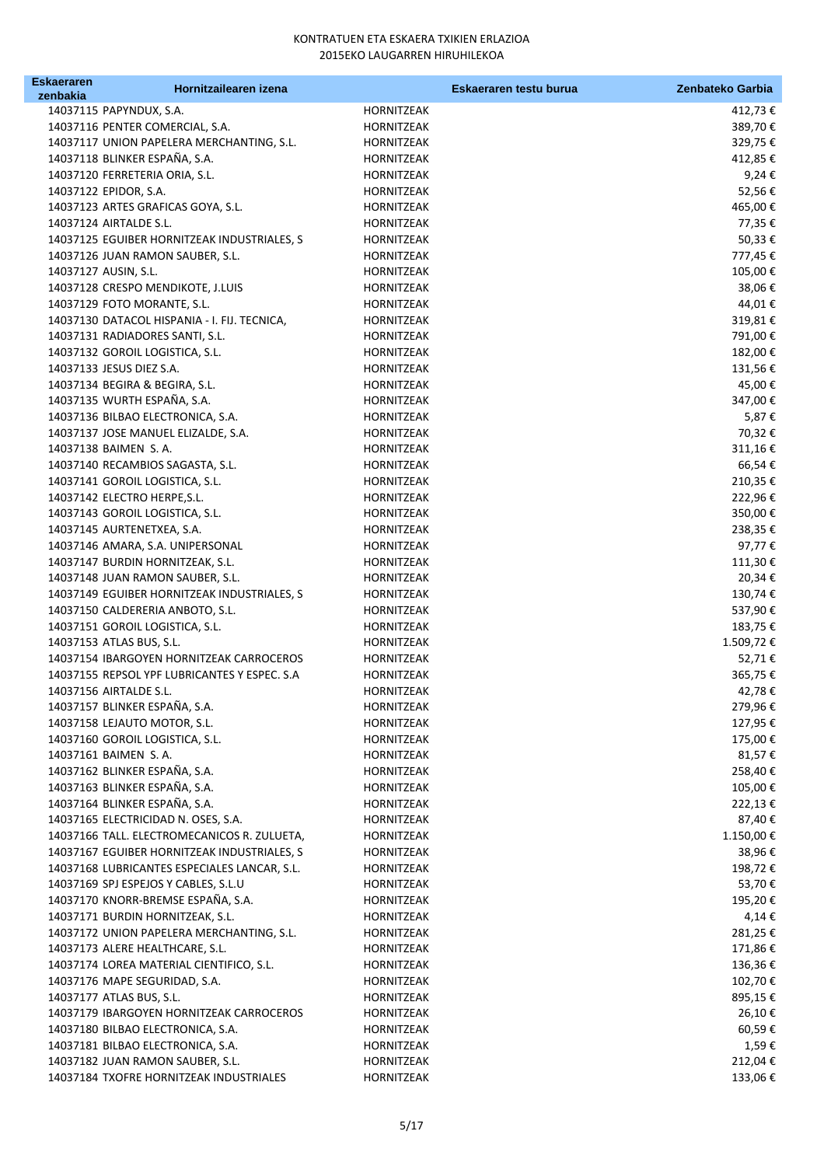| <b>Eskaeraren</b> | Hornitzailearen izena                        | Eskaeraren testu burua | Zenbateko Garbia |
|-------------------|----------------------------------------------|------------------------|------------------|
| zenbakia          |                                              |                        |                  |
|                   | 14037115 PAPYNDUX, S.A.                      | HORNITZEAK             | 412,73 €         |
|                   | 14037116 PENTER COMERCIAL, S.A.              | HORNITZEAK             | 389,70€          |
|                   | 14037117 UNION PAPELERA MERCHANTING, S.L.    | HORNITZEAK             | 329,75€          |
|                   | 14037118 BLINKER ESPAÑA, S.A.                | HORNITZEAK             | 412,85€          |
|                   | 14037120 FERRETERIA ORIA, S.L.               | HORNITZEAK             | 9,24€            |
|                   | 14037122 EPIDOR, S.A.                        | HORNITZEAK             | 52,56€           |
|                   | 14037123 ARTES GRAFICAS GOYA, S.L.           | HORNITZEAK             | 465,00€          |
|                   | 14037124 AIRTALDE S.L.                       | HORNITZEAK             | 77,35€           |
|                   | 14037125 EGUIBER HORNITZEAK INDUSTRIALES, S  | HORNITZEAK             | 50,33€           |
|                   | 14037126 JUAN RAMON SAUBER, S.L.             | HORNITZEAK             | 777,45 €         |
|                   | 14037127 AUSIN, S.L.                         | HORNITZEAK             | 105,00€          |
|                   | 14037128 CRESPO MENDIKOTE, J.LUIS            | HORNITZEAK             | 38,06€           |
|                   | 14037129 FOTO MORANTE, S.L.                  | HORNITZEAK             | 44,01€           |
|                   | 14037130 DATACOL HISPANIA - I. FIJ. TECNICA, | HORNITZEAK             | 319,81€          |
|                   | 14037131 RADIADORES SANTI, S.L.              | HORNITZEAK             | 791,00€          |
|                   | 14037132 GOROIL LOGISTICA, S.L.              | HORNITZEAK             | 182,00€          |
|                   | 14037133 JESUS DIEZ S.A.                     | HORNITZEAK             | 131,56€          |
|                   | 14037134 BEGIRA & BEGIRA, S.L.               | HORNITZEAK             | 45,00€           |
|                   | 14037135 WURTH ESPAÑA, S.A.                  | HORNITZEAK             | 347,00€          |
|                   | 14037136 BILBAO ELECTRONICA, S.A.            | HORNITZEAK             | 5,87€            |
|                   | 14037137 JOSE MANUEL ELIZALDE, S.A.          | HORNITZEAK             | 70,32€           |
|                   | 14037138 BAIMEN S.A.                         | HORNITZEAK             | 311,16€          |
|                   | 14037140 RECAMBIOS SAGASTA, S.L.             | HORNITZEAK             | 66,54€           |
|                   | 14037141 GOROIL LOGISTICA, S.L.              | HORNITZEAK             | 210,35€          |
|                   | 14037142 ELECTRO HERPE, S.L.                 | HORNITZEAK             | 222,96€          |
|                   | 14037143 GOROIL LOGISTICA, S.L.              | HORNITZEAK             | 350,00€          |
|                   | 14037145 AURTENETXEA, S.A.                   | HORNITZEAK             | 238,35€          |
|                   | 14037146 AMARA, S.A. UNIPERSONAL             | HORNITZEAK             | 97,77€           |
|                   | 14037147 BURDIN HORNITZEAK, S.L.             | HORNITZEAK             | 111,30€          |
|                   | 14037148 JUAN RAMON SAUBER, S.L.             | HORNITZEAK             | 20,34€           |
|                   | 14037149 EGUIBER HORNITZEAK INDUSTRIALES, S  | HORNITZEAK             | 130,74€          |
|                   | 14037150 CALDERERIA ANBOTO, S.L.             | HORNITZEAK             | 537,90€          |
|                   | 14037151 GOROIL LOGISTICA, S.L.              | HORNITZEAK             | 183,75€          |
|                   | 14037153 ATLAS BUS, S.L.                     | HORNITZEAK             | 1.509,72€        |
|                   | 14037154 IBARGOYEN HORNITZEAK CARROCEROS     | HORNITZEAK             | 52,71€           |
|                   | 14037155 REPSOL YPF LUBRICANTES Y ESPEC. S.A | HORNITZEAK             | 365,75€          |
|                   | 14037156 AIRTALDE S.L.                       | HORNITZEAK             | 42,78€           |
|                   | 14037157 BLINKER ESPAÑA, S.A.                | HORNITZEAK             | 279,96€          |
|                   | 14037158 LEJAUTO MOTOR, S.L.                 | HORNITZEAK             | 127,95€          |
|                   | 14037160 GOROIL LOGISTICA, S.L.              | HORNITZEAK             | 175,00€          |
|                   | 14037161 BAIMEN S.A.                         | HORNITZEAK             | 81,57€           |
|                   | 14037162 BLINKER ESPAÑA, S.A.                | HORNITZEAK             | 258,40€          |
|                   | 14037163 BLINKER ESPAÑA, S.A.                | HORNITZEAK             | 105,00€          |
|                   | 14037164 BLINKER ESPAÑA, S.A.                | HORNITZEAK             | 222,13€          |
|                   | 14037165 ELECTRICIDAD N. OSES, S.A.          | HORNITZEAK             | 87,40€           |
|                   | 14037166 TALL. ELECTROMECANICOS R. ZULUETA,  | HORNITZEAK             | 1.150,00 €       |
|                   | 14037167 EGUIBER HORNITZEAK INDUSTRIALES, S  | HORNITZEAK             | 38,96€           |
|                   | 14037168 LUBRICANTES ESPECIALES LANCAR, S.L. | HORNITZEAK             | 198,72€          |
|                   | 14037169 SPJ ESPEJOS Y CABLES, S.L.U         | HORNITZEAK             | 53,70€           |
|                   | 14037170 KNORR-BREMSE ESPAÑA, S.A.           | HORNITZEAK             | 195,20€          |
|                   | 14037171 BURDIN HORNITZEAK, S.L.             | HORNITZEAK             | 4,14€            |
|                   | 14037172 UNION PAPELERA MERCHANTING, S.L.    | HORNITZEAK             | 281,25€          |
|                   | 14037173 ALERE HEALTHCARE, S.L.              | HORNITZEAK             | 171,86€          |
|                   | 14037174 LOREA MATERIAL CIENTIFICO, S.L.     | HORNITZEAK             | 136,36€          |
|                   | 14037176 MAPE SEGURIDAD, S.A.                | HORNITZEAK             | 102,70€          |
|                   | 14037177 ATLAS BUS, S.L.                     | HORNITZEAK             | 895,15€          |
|                   | 14037179 IBARGOYEN HORNITZEAK CARROCEROS     | HORNITZEAK             | 26,10€           |
|                   | 14037180 BILBAO ELECTRONICA, S.A.            | HORNITZEAK             | 60,59€           |
|                   | 14037181 BILBAO ELECTRONICA, S.A.            | HORNITZEAK             | 1,59€            |
|                   | 14037182 JUAN RAMON SAUBER, S.L.             | HORNITZEAK             | 212,04€          |
|                   | 14037184 TXOFRE HORNITZEAK INDUSTRIALES      | HORNITZEAK             | 133,06€          |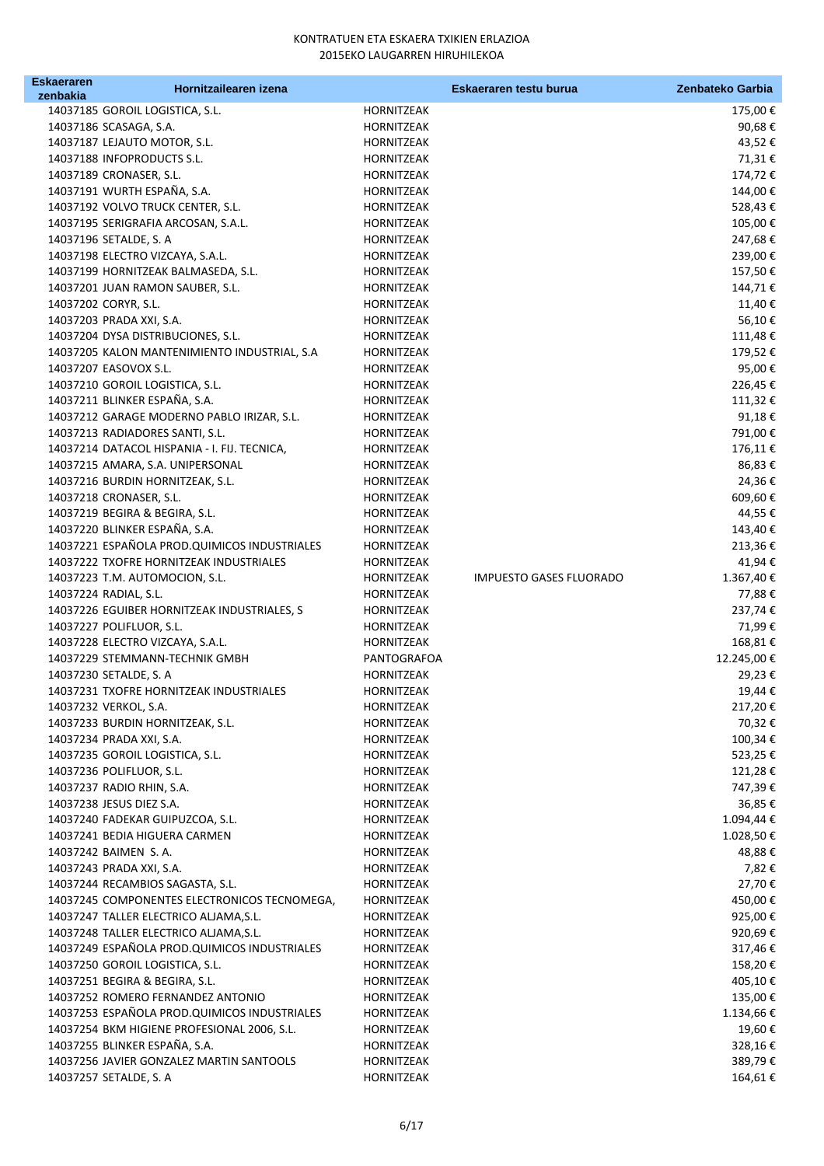| Eskaeraren | Hornitzailearen izena                         |             | Eskaeraren testu burua         | Zenbateko Garbia |
|------------|-----------------------------------------------|-------------|--------------------------------|------------------|
| zenbakia   |                                               |             |                                |                  |
|            | 14037185 GOROIL LOGISTICA, S.L.               | HORNITZEAK  |                                | 175,00 €         |
|            | 14037186 SCASAGA, S.A.                        | HORNITZEAK  |                                | 90,68€           |
|            | 14037187 LEJAUTO MOTOR, S.L.                  | HORNITZEAK  |                                | 43,52€           |
|            | 14037188 INFOPRODUCTS S.L.                    | HORNITZEAK  |                                | 71,31€           |
|            | 14037189 CRONASER, S.L.                       | HORNITZEAK  |                                | 174,72€          |
|            | 14037191 WURTH ESPAÑA, S.A.                   | HORNITZEAK  |                                | 144,00€          |
|            | 14037192 VOLVO TRUCK CENTER, S.L.             | HORNITZEAK  |                                | 528,43€          |
|            | 14037195 SERIGRAFIA ARCOSAN, S.A.L.           | HORNITZEAK  |                                | 105,00€          |
|            | 14037196 SETALDE, S. A                        | HORNITZEAK  |                                | 247,68€          |
|            | 14037198 ELECTRO VIZCAYA, S.A.L.              | HORNITZEAK  |                                | 239,00€          |
|            | 14037199 HORNITZEAK BALMASEDA, S.L.           | HORNITZEAK  |                                | 157,50€          |
|            | 14037201 JUAN RAMON SAUBER, S.L.              | HORNITZEAK  |                                | 144,71€          |
|            | 14037202 CORYR, S.L.                          | HORNITZEAK  |                                | 11,40€           |
|            | 14037203 PRADA XXI, S.A.                      | HORNITZEAK  |                                | 56,10€           |
|            | 14037204 DYSA DISTRIBUCIONES, S.L.            | HORNITZEAK  |                                | 111,48€          |
|            | 14037205 KALON MANTENIMIENTO INDUSTRIAL, S.A. | HORNITZEAK  |                                | 179,52€          |
|            | 14037207 EASOVOX S.L.                         | HORNITZEAK  |                                | 95,00€           |
|            | 14037210 GOROIL LOGISTICA, S.L.               | HORNITZEAK  |                                | 226,45€          |
|            | 14037211 BLINKER ESPAÑA, S.A.                 | HORNITZEAK  |                                | 111,32€          |
|            | 14037212 GARAGE MODERNO PABLO IRIZAR, S.L.    | HORNITZEAK  |                                | 91,18€           |
|            | 14037213 RADIADORES SANTI, S.L.               | HORNITZEAK  |                                | 791,00€          |
|            | 14037214 DATACOL HISPANIA - I. FIJ. TECNICA,  | HORNITZEAK  |                                | 176,11€          |
|            | 14037215 AMARA, S.A. UNIPERSONAL              | HORNITZEAK  |                                | 86,83€           |
|            | 14037216 BURDIN HORNITZEAK, S.L.              | HORNITZEAK  |                                | 24,36€           |
|            | 14037218 CRONASER, S.L.                       | HORNITZEAK  |                                | 609,60€          |
|            | 14037219 BEGIRA & BEGIRA, S.L.                | HORNITZEAK  |                                | 44,55€           |
|            | 14037220 BLINKER ESPAÑA, S.A.                 |             |                                |                  |
|            |                                               | HORNITZEAK  |                                | 143,40€          |
|            | 14037221 ESPAÑOLA PROD.QUIMICOS INDUSTRIALES  | HORNITZEAK  |                                | 213,36€          |
|            | 14037222 TXOFRE HORNITZEAK INDUSTRIALES       | HORNITZEAK  |                                | 41,94€           |
|            | 14037223 T.M. AUTOMOCION, S.L.                | HORNITZEAK  | <b>IMPUESTO GASES FLUORADO</b> | 1.367,40€        |
|            | 14037224 RADIAL, S.L.                         | HORNITZEAK  |                                | 77,88€           |
|            | 14037226 EGUIBER HORNITZEAK INDUSTRIALES, S   | HORNITZEAK  |                                | 237,74€          |
|            | 14037227 POLIFLUOR, S.L.                      | HORNITZEAK  |                                | 71,99€           |
|            | 14037228 ELECTRO VIZCAYA, S.A.L.              | HORNITZEAK  |                                | 168,81€          |
|            | 14037229 STEMMANN-TECHNIK GMBH                | PANTOGRAFOA |                                | 12.245,00€       |
|            | 14037230 SETALDE, S. A                        | HORNITZEAK  |                                | 29,23€           |
|            | 14037231 TXOFRE HORNITZEAK INDUSTRIALES       | HORNITZEAK  |                                | 19,44€           |
|            | 14037232 VERKOL, S.A.                         | HORNITZEAK  |                                | 217,20€          |
|            | 14037233 BURDIN HORNITZEAK, S.L.              | HORNITZEAK  |                                | 70,32€           |
|            | 14037234 PRADA XXI, S.A.                      | HORNITZEAK  |                                | 100,34€          |
|            | 14037235 GOROIL LOGISTICA, S.L.               | HORNITZEAK  |                                | 523,25€          |
|            | 14037236 POLIFLUOR, S.L.                      | HORNITZEAK  |                                | 121,28€          |
|            | 14037237 RADIO RHIN, S.A.                     | HORNITZEAK  |                                | 747,39€          |
|            | 14037238 JESUS DIEZ S.A.                      | HORNITZEAK  |                                | 36,85€           |
|            | 14037240 FADEKAR GUIPUZCOA, S.L.              | HORNITZEAK  |                                | 1.094,44 €       |
|            | 14037241 BEDIA HIGUERA CARMEN                 | HORNITZEAK  |                                | 1.028,50€        |
|            | 14037242 BAIMEN S.A.                          | HORNITZEAK  |                                | 48,88€           |
|            | 14037243 PRADA XXI, S.A.                      | HORNITZEAK  |                                | 7,82 €           |
|            | 14037244 RECAMBIOS SAGASTA, S.L.              | HORNITZEAK  |                                | 27,70€           |
|            | 14037245 COMPONENTES ELECTRONICOS TECNOMEGA,  | HORNITZEAK  |                                | 450,00 €         |
|            | 14037247 TALLER ELECTRICO ALJAMA, S.L.        | HORNITZEAK  |                                | 925,00€          |
|            | 14037248 TALLER ELECTRICO ALJAMA, S.L.        | HORNITZEAK  |                                | 920,69€          |
|            | 14037249 ESPAÑOLA PROD.QUIMICOS INDUSTRIALES  | HORNITZEAK  |                                | 317,46€          |
|            | 14037250 GOROIL LOGISTICA, S.L.               | HORNITZEAK  |                                | 158,20€          |
|            | 14037251 BEGIRA & BEGIRA, S.L.                | HORNITZEAK  |                                | 405,10€          |
|            | 14037252 ROMERO FERNANDEZ ANTONIO             | HORNITZEAK  |                                | 135,00 €         |
|            | 14037253 ESPAÑOLA PROD. QUIMICOS INDUSTRIALES | HORNITZEAK  |                                | 1.134,66€        |
|            | 14037254 BKM HIGIENE PROFESIONAL 2006, S.L.   | HORNITZEAK  |                                | 19,60€           |
|            | 14037255 BLINKER ESPAÑA, S.A.                 | HORNITZEAK  |                                | 328,16€          |
|            | 14037256 JAVIER GONZALEZ MARTIN SANTOOLS      | HORNITZEAK  |                                | 389,79€          |
|            | 14037257 SETALDE, S. A                        | HORNITZEAK  |                                | 164,61€          |
|            |                                               |             |                                |                  |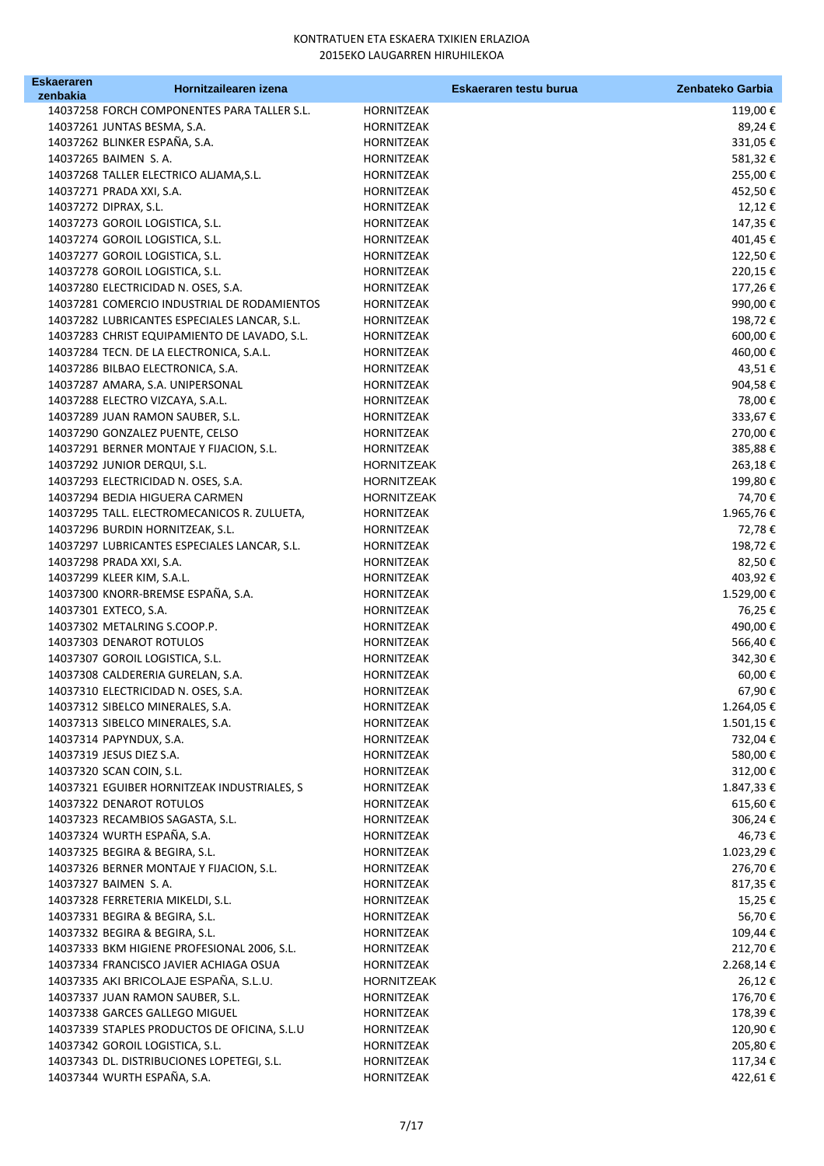| Eskaeraren | Hornitzailearen izena                        |                   | Eskaeraren testu burua | Zenbateko Garbia |
|------------|----------------------------------------------|-------------------|------------------------|------------------|
| zenbakia   |                                              |                   |                        |                  |
|            | 14037258 FORCH COMPONENTES PARA TALLER S.L.  | HORNITZEAK        |                        | 119,00€          |
|            | 14037261 JUNTAS BESMA, S.A.                  | HORNITZEAK        |                        | 89,24€           |
|            | 14037262 BLINKER ESPAÑA, S.A.                | HORNITZEAK        |                        | 331,05€          |
|            | 14037265 BAIMEN S.A.                         | HORNITZEAK        |                        | 581,32€          |
|            | 14037268 TALLER ELECTRICO ALJAMA, S.L.       | HORNITZEAK        |                        | 255,00€          |
|            | 14037271 PRADA XXI, S.A.                     | HORNITZEAK        |                        | 452,50€          |
|            | 14037272 DIPRAX, S.L.                        | HORNITZEAK        |                        | 12,12€           |
|            | 14037273 GOROIL LOGISTICA, S.L.              | HORNITZEAK        |                        | 147,35€          |
|            | 14037274 GOROIL LOGISTICA, S.L.              | HORNITZEAK        |                        | 401,45€          |
|            | 14037277 GOROIL LOGISTICA, S.L.              | <b>HORNITZEAK</b> |                        | 122,50€          |
|            | 14037278 GOROIL LOGISTICA, S.L.              | HORNITZEAK        |                        | 220,15€          |
|            | 14037280 ELECTRICIDAD N. OSES, S.A.          | HORNITZEAK        |                        | 177,26€          |
|            | 14037281 COMERCIO INDUSTRIAL DE RODAMIENTOS  | HORNITZEAK        |                        | 990,00€          |
|            | 14037282 LUBRICANTES ESPECIALES LANCAR, S.L. | HORNITZEAK        |                        | 198,72€          |
|            | 14037283 CHRIST EQUIPAMIENTO DE LAVADO, S.L. | HORNITZEAK        |                        | $600{,}00$ $\in$ |
|            | 14037284 TECN. DE LA ELECTRONICA, S.A.L.     | HORNITZEAK        |                        | 460,00€          |
|            | 14037286 BILBAO ELECTRONICA, S.A.            | HORNITZEAK        |                        | 43,51€           |
|            | 14037287 AMARA, S.A. UNIPERSONAL             | HORNITZEAK        |                        | 904,58€          |
|            | 14037288 ELECTRO VIZCAYA, S.A.L.             | HORNITZEAK        |                        | 78,00€           |
|            | 14037289 JUAN RAMON SAUBER, S.L.             | HORNITZEAK        |                        | 333,67€          |
|            | 14037290 GONZALEZ PUENTE, CELSO              | HORNITZEAK        |                        | 270,00€          |
|            | 14037291 BERNER MONTAJE Y FIJACION, S.L.     | HORNITZEAK        |                        | 385,88€          |
|            | 14037292 JUNIOR DERQUI, S.L.                 | <b>HORNITZEAK</b> |                        | 263,18€          |
|            | 14037293 ELECTRICIDAD N. OSES, S.A.          | HORNITZEAK        |                        | 199,80€          |
|            | 14037294 BEDIA HIGUERA CARMEN                | <b>HORNITZEAK</b> |                        | 74,70€           |
|            | 14037295 TALL. ELECTROMECANICOS R. ZULUETA,  | HORNITZEAK        |                        | 1.965,76€        |
|            | 14037296 BURDIN HORNITZEAK, S.L.             | HORNITZEAK        |                        | 72,78€           |
|            | 14037297 LUBRICANTES ESPECIALES LANCAR, S.L. | HORNITZEAK        |                        | 198,72€          |
|            | 14037298 PRADA XXI, S.A.                     | HORNITZEAK        |                        | 82,50€           |
|            | 14037299 KLEER KIM, S.A.L.                   | HORNITZEAK        |                        | 403,92€          |
|            | 14037300 KNORR-BREMSE ESPAÑA, S.A.           | HORNITZEAK        |                        | 1.529,00€        |
|            | 14037301 EXTECO, S.A.                        | HORNITZEAK        |                        | 76,25€           |
|            | 14037302 METALRING S.COOP.P.                 | HORNITZEAK        |                        | 490,00€          |
|            | 14037303 DENAROT ROTULOS                     | <b>HORNITZEAK</b> |                        | 566,40€          |
|            | 14037307 GOROIL LOGISTICA, S.L.              | HORNITZEAK        |                        | 342,30€          |
|            | 14037308 CALDERERIA GURELAN, S.A.            | HORNITZEAK        |                        | 60,00€           |
|            | 14037310 ELECTRICIDAD N. OSES, S.A.          | HORNITZEAK        |                        | 67,90€           |
|            | 14037312 SIBELCO MINERALES, S.A.             | HORNITZEAK        |                        | 1.264,05€        |
|            | 14037313 SIBELCO MINERALES, S.A.             | HORNITZEAK        |                        | 1.501,15€        |
|            | 14037314 PAPYNDUX, S.A.                      | HORNITZEAK        |                        | 732,04€          |
|            | 14037319 JESUS DIEZ S.A.                     | HORNITZEAK        |                        | 580,00€          |
|            | 14037320 SCAN COIN, S.L.                     | HORNITZEAK        |                        | 312,00 €         |
|            | 14037321 EGUIBER HORNITZEAK INDUSTRIALES, S  | HORNITZEAK        |                        | 1.847,33 €       |
|            | 14037322 DENAROT ROTULOS                     | HORNITZEAK        |                        | 615,60€          |
|            | 14037323 RECAMBIOS SAGASTA, S.L.             | HORNITZEAK        |                        | 306,24 €         |
|            | 14037324 WURTH ESPAÑA, S.A.                  | HORNITZEAK        |                        | 46,73€           |
|            | 14037325 BEGIRA & BEGIRA, S.L.               | HORNITZEAK        |                        | 1.023,29€        |
|            | 14037326 BERNER MONTAJE Y FIJACION, S.L.     | HORNITZEAK        |                        | 276,70€          |
|            | 14037327 BAIMEN S.A.                         | HORNITZEAK        |                        | 817,35 €         |
|            | 14037328 FERRETERIA MIKELDI, S.L.            | HORNITZEAK        |                        | 15,25€           |
|            | 14037331 BEGIRA & BEGIRA, S.L.               | HORNITZEAK        |                        | 56,70€           |
|            | 14037332 BEGIRA & BEGIRA, S.L.               | HORNITZEAK        |                        | 109,44€          |
|            | 14037333 BKM HIGIENE PROFESIONAL 2006, S.L.  | HORNITZEAK        |                        | 212,70€          |
|            | 14037334 FRANCISCO JAVIER ACHIAGA OSUA       | HORNITZEAK        |                        | 2.268,14€        |
|            | 14037335 AKI BRICOLAJE ESPAÑA, S.L.U.        | HORNITZEAK        |                        | 26,12€           |
|            | 14037337 JUAN RAMON SAUBER, S.L.             | HORNITZEAK        |                        | 176,70€          |
|            | 14037338 GARCES GALLEGO MIGUEL               | HORNITZEAK        |                        | 178,39€          |
|            | 14037339 STAPLES PRODUCTOS DE OFICINA, S.L.U | HORNITZEAK        |                        | 120,90€          |
|            | 14037342 GOROIL LOGISTICA, S.L.              | HORNITZEAK        |                        | 205,80€          |
|            | 14037343 DL. DISTRIBUCIONES LOPETEGI, S.L.   | HORNITZEAK        |                        | 117,34 €         |
|            | 14037344 WURTH ESPAÑA, S.A.                  | HORNITZEAK        |                        | 422,61€          |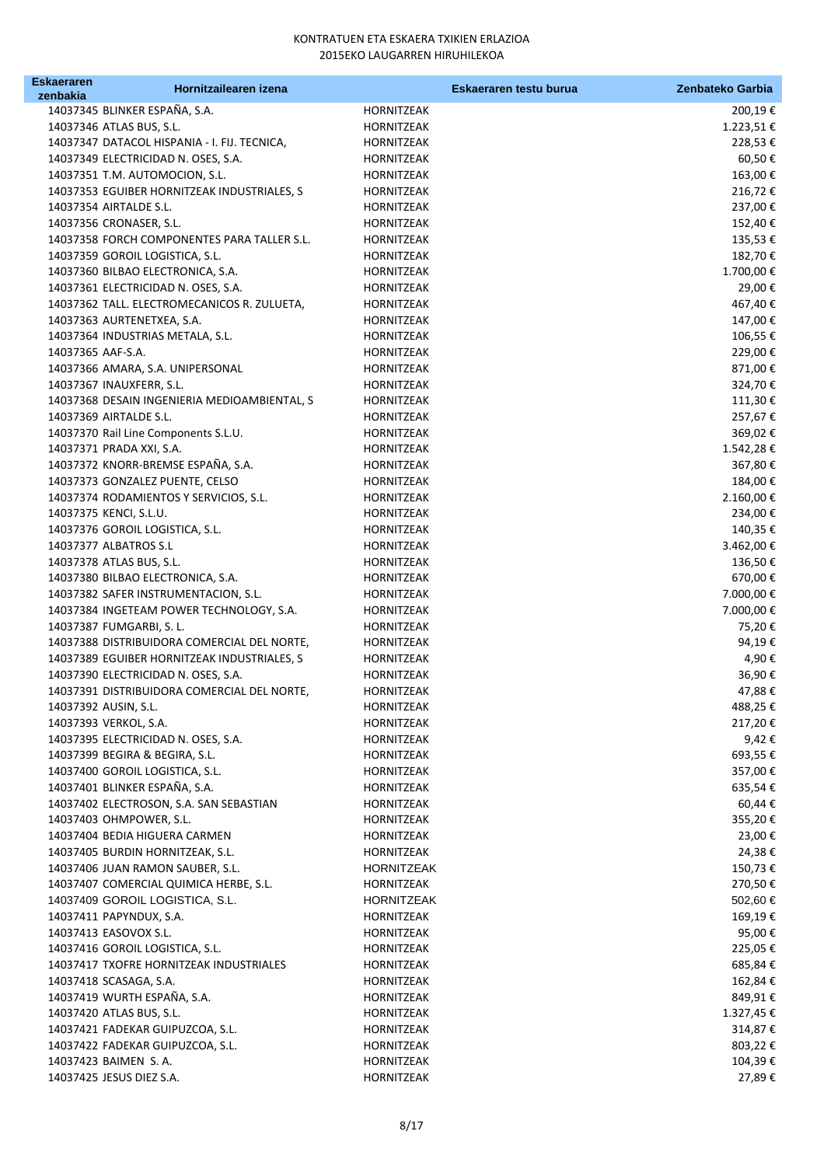| <b>Eskaeraren</b> | Hornitzailearen izena                                 |                          | Eskaeraren testu burua | Zenbateko Garbia     |
|-------------------|-------------------------------------------------------|--------------------------|------------------------|----------------------|
| zenbakia          | 14037345 BLINKER ESPAÑA, S.A.                         |                          |                        |                      |
|                   | 14037346 ATLAS BUS, S.L.                              | HORNITZEAK<br>HORNITZEAK |                        | 200,19€<br>1.223,51€ |
|                   | 14037347 DATACOL HISPANIA - I. FIJ. TECNICA,          | HORNITZEAK               |                        | 228,53€              |
|                   | 14037349 ELECTRICIDAD N. OSES, S.A.                   | HORNITZEAK               |                        | 60,50€               |
|                   | 14037351 T.M. AUTOMOCION, S.L.                        | HORNITZEAK               |                        | 163,00€              |
|                   | 14037353 EGUIBER HORNITZEAK INDUSTRIALES, S           | HORNITZEAK               |                        | 216,72€              |
|                   | 14037354 AIRTALDE S.L.                                | HORNITZEAK               |                        | 237,00€              |
|                   | 14037356 CRONASER, S.L.                               | HORNITZEAK               |                        | 152,40€              |
|                   | 14037358 FORCH COMPONENTES PARA TALLER S.L.           | HORNITZEAK               |                        | 135,53€              |
|                   | 14037359 GOROIL LOGISTICA, S.L.                       | HORNITZEAK               |                        | 182,70€              |
|                   | 14037360 BILBAO ELECTRONICA, S.A.                     | HORNITZEAK               |                        | 1.700,00€            |
|                   | 14037361 ELECTRICIDAD N. OSES, S.A.                   | HORNITZEAK               |                        | 29,00€               |
|                   | 14037362 TALL. ELECTROMECANICOS R. ZULUETA,           | HORNITZEAK               |                        | 467,40€              |
|                   | 14037363 AURTENETXEA, S.A.                            | <b>HORNITZEAK</b>        |                        | 147,00€              |
|                   | 14037364 INDUSTRIAS METALA, S.L.                      | HORNITZEAK               |                        | 106,55€              |
| 14037365 AAF-S.A. |                                                       | HORNITZEAK               |                        | 229,00€              |
|                   | 14037366 AMARA, S.A. UNIPERSONAL                      | HORNITZEAK               |                        | 871,00€              |
|                   | 14037367 INAUXFERR, S.L.                              | HORNITZEAK               |                        | 324,70€              |
|                   | 14037368 DESAIN INGENIERIA MEDIOAMBIENTAL, S          | HORNITZEAK               |                        | 111,30€              |
|                   | 14037369 AIRTALDE S.L.                                | HORNITZEAK               |                        | 257,67€              |
|                   | 14037370 Rail Line Components S.L.U.                  | HORNITZEAK               |                        | 369,02€              |
|                   | 14037371 PRADA XXI, S.A.                              | HORNITZEAK               |                        | 1.542,28€            |
|                   | 14037372 KNORR-BREMSE ESPAÑA, S.A.                    | HORNITZEAK               |                        | 367,80€              |
|                   | 14037373 GONZALEZ PUENTE, CELSO                       | HORNITZEAK               |                        | 184,00€              |
|                   | 14037374 RODAMIENTOS Y SERVICIOS, S.L.                | HORNITZEAK               |                        | 2.160,00€            |
|                   | 14037375 KENCI, S.L.U.                                | <b>HORNITZEAK</b>        |                        | 234,00€              |
|                   | 14037376 GOROIL LOGISTICA, S.L.                       | <b>HORNITZEAK</b>        |                        | 140,35€              |
|                   | 14037377 ALBATROS S.L                                 | HORNITZEAK               |                        | 3.462,00 €           |
|                   | 14037378 ATLAS BUS, S.L.                              | HORNITZEAK               |                        | 136,50€              |
|                   | 14037380 BILBAO ELECTRONICA, S.A.                     | HORNITZEAK               |                        | 670,00€              |
|                   | 14037382 SAFER INSTRUMENTACION, S.L.                  | HORNITZEAK               |                        | 7.000,00 €           |
|                   | 14037384 INGETEAM POWER TECHNOLOGY, S.A.              | HORNITZEAK               |                        | 7.000,00 €           |
|                   | 14037387 FUMGARBI, S. L.                              | HORNITZEAK               |                        | 75,20€               |
|                   | 14037388 DISTRIBUIDORA COMERCIAL DEL NORTE,           | HORNITZEAK               |                        | 94,19€               |
|                   | 14037389 EGUIBER HORNITZEAK INDUSTRIALES, S           | <b>HORNITZEAK</b>        |                        | 4,90€                |
|                   | 14037390 ELECTRICIDAD N. OSES, S.A.                   | HORNITZEAK               |                        | 36,90€               |
|                   | 14037391 DISTRIBUIDORA COMERCIAL DEL NORTE,           | HORNITZEAK               |                        | 47,88€               |
|                   | 14037392 AUSIN, S.L.                                  | HORNITZEAK               |                        | 488,25€              |
|                   | 14037393 VERKOL, S.A.                                 | HORNITZEAK               |                        | 217,20€              |
|                   | 14037395 ELECTRICIDAD N. OSES, S.A.                   | HORNITZEAK               |                        | 9,42€                |
|                   | 14037399 BEGIRA & BEGIRA, S.L.                        | HORNITZEAK               |                        | 693,55€              |
|                   | 14037400 GOROIL LOGISTICA, S.L.                       | HORNITZEAK               |                        | 357,00€              |
|                   | 14037401 BLINKER ESPAÑA, S.A.                         | HORNITZEAK               |                        | 635,54€              |
|                   | 14037402 ELECTROSON, S.A. SAN SEBASTIAN               | HORNITZEAK               |                        | 60,44€               |
|                   | 14037403 OHMPOWER, S.L.                               | <b>HORNITZEAK</b>        |                        | 355,20€              |
|                   | 14037404 BEDIA HIGUERA CARMEN                         | HORNITZEAK               |                        | 23,00€               |
|                   | 14037405 BURDIN HORNITZEAK, S.L.                      | HORNITZEAK               |                        | 24,38€               |
|                   | 14037406 JUAN RAMON SAUBER, S.L.                      | <b>HORNITZEAK</b>        |                        | 150,73€              |
|                   | 14037407 COMERCIAL QUIMICA HERBE, S.L.                | HORNITZEAK               |                        | 270,50€              |
|                   | 14037409 GOROIL LOGISTICA, S.L.                       | HORNITZEAK               |                        | 502,60 €             |
|                   | 14037411 PAPYNDUX, S.A.                               | HORNITZEAK               |                        | 169,19€              |
|                   | 14037413 EASOVOX S.L.                                 | HORNITZEAK               |                        | 95,00€               |
|                   | 14037416 GOROIL LOGISTICA, S.L.                       | HORNITZEAK               |                        | 225,05€              |
|                   | 14037417 TXOFRE HORNITZEAK INDUSTRIALES               | HORNITZEAK               |                        | 685,84€              |
|                   | 14037418 SCASAGA, S.A.<br>14037419 WURTH ESPAÑA, S.A. | HORNITZEAK               |                        | 162,84€<br>849,91€   |
|                   | 14037420 ATLAS BUS, S.L.                              | HORNITZEAK<br>HORNITZEAK |                        | 1.327,45€            |
|                   | 14037421 FADEKAR GUIPUZCOA, S.L.                      | HORNITZEAK               |                        | 314,87€              |
|                   | 14037422 FADEKAR GUIPUZCOA, S.L.                      | HORNITZEAK               |                        | 803,22€              |
|                   | 14037423 BAIMEN S.A.                                  | HORNITZEAK               |                        | 104,39€              |
|                   | 14037425 JESUS DIEZ S.A.                              | HORNITZEAK               |                        | 27,89€               |
|                   |                                                       |                          |                        |                      |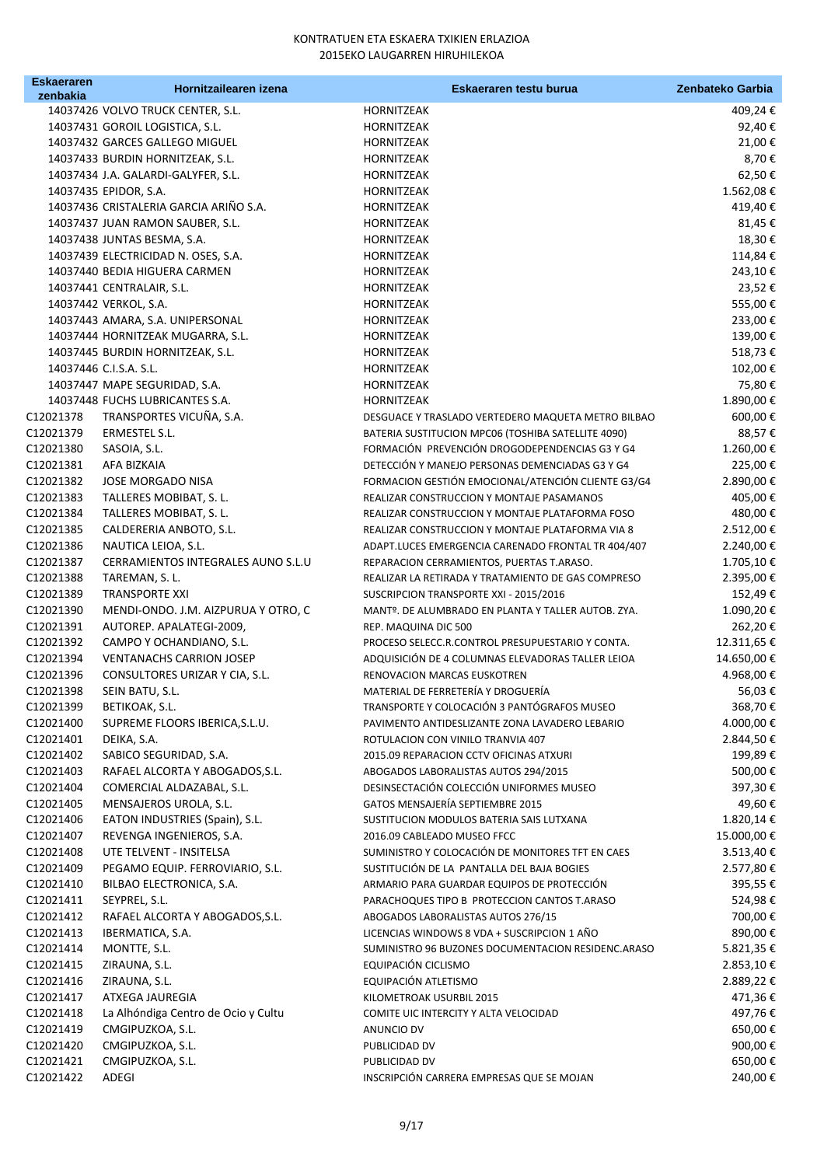| <b>Eskaeraren</b> | Hornitzailearen izena                                              | Eskaeraren testu burua                             | Zenbateko Garbia     |
|-------------------|--------------------------------------------------------------------|----------------------------------------------------|----------------------|
| zenbakia          |                                                                    |                                                    |                      |
|                   | 14037426 VOLVO TRUCK CENTER, S.L.                                  | HORNITZEAK                                         | 409,24€              |
|                   | 14037431 GOROIL LOGISTICA, S.L.                                    | HORNITZEAK                                         | 92,40€               |
|                   | 14037432 GARCES GALLEGO MIGUEL                                     | HORNITZEAK                                         | 21,00€               |
|                   | 14037433 BURDIN HORNITZEAK, S.L.                                   | HORNITZEAK                                         | 8,70€                |
|                   | 14037434 J.A. GALARDI-GALYFER, S.L.                                | HORNITZEAK                                         | 62,50€               |
|                   | 14037435 EPIDOR, S.A.<br>14037436 CRISTALERIA GARCIA ARIÑO S.A.    | HORNITZEAK                                         | 1.562,08€<br>419,40€ |
|                   |                                                                    | HORNITZEAK                                         |                      |
|                   | 14037437 JUAN RAMON SAUBER, S.L.                                   | HORNITZEAK                                         | 81,45€<br>18,30€     |
|                   | 14037438 JUNTAS BESMA, S.A.<br>14037439 ELECTRICIDAD N. OSES, S.A. | HORNITZEAK<br><b>HORNITZEAK</b>                    | 114,84€              |
|                   | 14037440 BEDIA HIGUERA CARMEN                                      | <b>HORNITZEAK</b>                                  | 243,10€              |
|                   | 14037441 CENTRALAIR, S.L.                                          | HORNITZEAK                                         | 23,52€               |
|                   | 14037442 VERKOL, S.A.                                              | HORNITZEAK                                         | 555,00€              |
|                   | 14037443 AMARA, S.A. UNIPERSONAL                                   | HORNITZEAK                                         | 233,00€              |
|                   | 14037444 HORNITZEAK MUGARRA, S.L.                                  | HORNITZEAK                                         | 139,00€              |
|                   | 14037445 BURDIN HORNITZEAK, S.L.                                   | HORNITZEAK                                         | 518,73€              |
|                   | 14037446 C.I.S.A. S.L.                                             | HORNITZEAK                                         | 102,00 €             |
|                   | 14037447 MAPE SEGURIDAD, S.A.                                      | <b>HORNITZEAK</b>                                  | 75,80€               |
|                   | 14037448 FUCHS LUBRICANTES S.A.                                    | HORNITZEAK                                         | 1.890,00€            |
| C12021378         | TRANSPORTES VICUÑA, S.A.                                           | DESGUACE Y TRASLADO VERTEDERO MAQUETA METRO BILBAO | 600,00€              |
| C12021379         | ERMESTEL S.L.                                                      | BATERIA SUSTITUCION MPC06 (TOSHIBA SATELLITE 4090) | 88,57€               |
| C12021380         | SASOIA, S.L.                                                       | FORMACIÓN PREVENCIÓN DROGODEPENDENCIAS G3 Y G4     | 1.260,00€            |
| C12021381         | AFA BIZKAIA                                                        | DETECCIÓN Y MANEJO PERSONAS DEMENCIADAS G3 Y G4    | 225,00€              |
| C12021382         | JOSE MORGADO NISA                                                  | FORMACION GESTIÓN EMOCIONAL/ATENCIÓN CLIENTE G3/G4 | 2.890,00€            |
| C12021383         | TALLERES MOBIBAT, S. L.                                            | REALIZAR CONSTRUCCION Y MONTAJE PASAMANOS          | 405,00€              |
| C12021384         | TALLERES MOBIBAT, S. L.                                            | REALIZAR CONSTRUCCION Y MONTAJE PLATAFORMA FOSO    | 480,00€              |
| C12021385         | CALDERERIA ANBOTO, S.L.                                            | REALIZAR CONSTRUCCION Y MONTAJE PLATAFORMA VIA 8   | 2.512,00€            |
| C12021386         | NAUTICA LEIOA, S.L.                                                | ADAPT.LUCES EMERGENCIA CARENADO FRONTAL TR 404/407 | 2.240,00 €           |
| C12021387         | CERRAMIENTOS INTEGRALES AUNO S.L.U                                 | REPARACION CERRAMIENTOS, PUERTAS T.ARASO.          | 1.705,10€            |
| C12021388         | TAREMAN, S. L.                                                     | REALIZAR LA RETIRADA Y TRATAMIENTO DE GAS COMPRESO | 2.395,00 €           |
| C12021389         | <b>TRANSPORTE XXI</b>                                              | SUSCRIPCION TRANSPORTE XXI - 2015/2016             | 152,49€              |
| C12021390         | MENDI-ONDO. J.M. AIZPURUA Y OTRO, C                                | MANTº. DE ALUMBRADO EN PLANTA Y TALLER AUTOB. ZYA. | 1.090,20€            |
| C12021391         | AUTOREP. APALATEGI-2009,                                           | REP. MAQUINA DIC 500                               | 262,20€              |
| C12021392         | CAMPO Y OCHANDIANO, S.L.                                           | PROCESO SELECC.R.CONTROL PRESUPUESTARIO Y CONTA.   | 12.311,65 €          |
| C12021394         | <b>VENTANACHS CARRION JOSEP</b>                                    | ADQUISICIÓN DE 4 COLUMNAS ELEVADORAS TALLER LEIOA  | 14.650,00 €          |
| C12021396         | CONSULTORES URIZAR Y CIA, S.L.                                     | RENOVACION MARCAS EUSKOTREN                        | 4.968,00€            |
| C12021398         | SEIN BATU, S.L.                                                    | MATERIAL DE FERRETERÍA Y DROGUERÍA                 | 56,03€               |
| C12021399         | BETIKOAK, S.L.                                                     | TRANSPORTE Y COLOCACIÓN 3 PANTÓGRAFOS MUSEO        | 368,70€              |
| C12021400         | SUPREME FLOORS IBERICA, S.L.U.                                     | PAVIMENTO ANTIDESLIZANTE ZONA LAVADERO LEBARIO     | 4.000,00 €           |
| C12021401         | DEIKA, S.A.                                                        | ROTULACION CON VINILO TRANVIA 407                  | 2.844,50€            |
| C12021402         | SABICO SEGURIDAD, S.A.                                             | 2015.09 REPARACION CCTV OFICINAS ATXURI            | 199,89€              |
| C12021403         | RAFAEL ALCORTA Y ABOGADOS, S.L.                                    | ABOGADOS LABORALISTAS AUTOS 294/2015               | 500,00€              |
| C12021404         | COMERCIAL ALDAZABAL, S.L.                                          | DESINSECTACIÓN COLECCIÓN UNIFORMES MUSEO           | 397,30€              |
| C12021405         | MENSAJEROS UROLA, S.L.                                             | GATOS MENSAJERÍA SEPTIEMBRE 2015                   | 49,60€               |
| C12021406         | EATON INDUSTRIES (Spain), S.L.                                     | SUSTITUCION MODULOS BATERIA SAIS LUTXANA           | 1.820,14€            |
| C12021407         | REVENGA INGENIEROS, S.A.                                           | 2016.09 CABLEADO MUSEO FFCC                        | 15.000,00€           |
| C12021408         | UTE TELVENT - INSITELSA                                            | SUMINISTRO Y COLOCACIÓN DE MONITORES TFT EN CAES   | 3.513,40€            |
| C12021409         | PEGAMO EQUIP. FERROVIARIO, S.L.                                    | SUSTITUCIÓN DE LA PANTALLA DEL BAJA BOGIES         | 2.577,80 €           |
| C12021410         | BILBAO ELECTRONICA, S.A.                                           | ARMARIO PARA GUARDAR EQUIPOS DE PROTECCIÓN         | 395,55 €             |
| C12021411         | SEYPREL, S.L.                                                      | PARACHOQUES TIPO B PROTECCION CANTOS T.ARASO       | 524,98€              |
| C12021412         | RAFAEL ALCORTA Y ABOGADOS, S.L.                                    | ABOGADOS LABORALISTAS AUTOS 276/15                 | 700,00€              |
| C12021413         | IBERMATICA, S.A.                                                   | LICENCIAS WINDOWS 8 VDA + SUSCRIPCION 1 AÑO        | 890,00€              |
| C12021414         | MONTTE, S.L.                                                       | SUMINISTRO 96 BUZONES DOCUMENTACION RESIDENC.ARASO | 5.821,35 €           |
| C12021415         | ZIRAUNA, S.L.                                                      | EQUIPACIÓN CICLISMO                                | 2.853,10€            |
| C12021416         | ZIRAUNA, S.L.                                                      | EQUIPACIÓN ATLETISMO                               | 2.889,22 €           |
| C12021417         | ATXEGA JAUREGIA                                                    | KILOMETROAK USURBIL 2015                           | 471,36€              |
| C12021418         | La Alhóndiga Centro de Ocio y Cultu                                | COMITE UIC INTERCITY Y ALTA VELOCIDAD              | 497,76€              |
| C12021419         | CMGIPUZKOA, S.L.                                                   | ANUNCIO DV                                         | 650,00€              |
| C12021420         | CMGIPUZKOA, S.L.                                                   | PUBLICIDAD DV                                      | 900,00€              |
| C12021421         | CMGIPUZKOA, S.L.                                                   | PUBLICIDAD DV                                      | 650,00€              |
| C12021422         | ADEGI                                                              | INSCRIPCIÓN CARRERA EMPRESAS QUE SE MOJAN          | 240,00€              |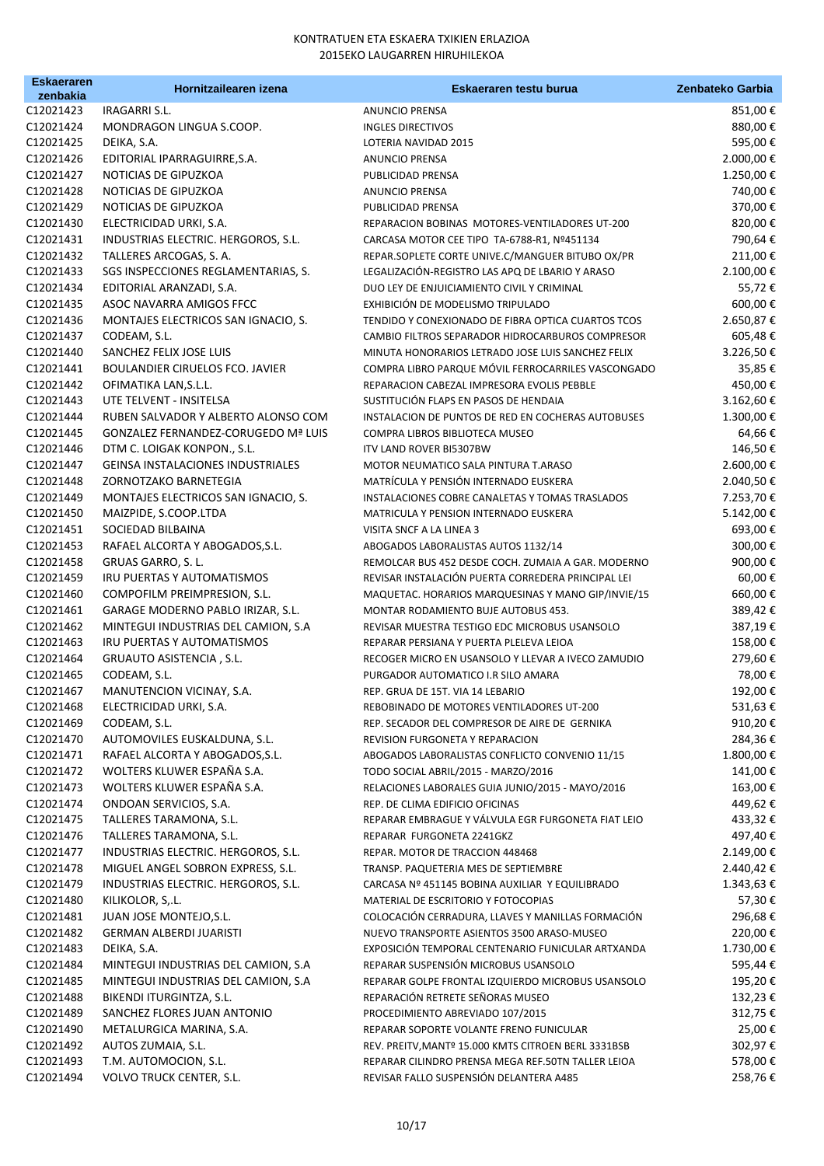| <b>Eskaeraren</b>      | Hornitzailearen izena                                             | Eskaeraren testu burua                                                                   | Zenbateko Garbia   |
|------------------------|-------------------------------------------------------------------|------------------------------------------------------------------------------------------|--------------------|
| zenbakia<br>C12021423  | <b>IRAGARRI S.L.</b>                                              | <b>ANUNCIO PRENSA</b>                                                                    | 851,00€            |
| C12021424              | <b>MONDRAGON LINGUA S.COOP.</b>                                   | <b>INGLES DIRECTIVOS</b>                                                                 | 880,00€            |
| C12021425              | DEIKA, S.A.                                                       | LOTERIA NAVIDAD 2015                                                                     | 595,00€            |
| C12021426              | EDITORIAL IPARRAGUIRRE, S.A.                                      | <b>ANUNCIO PRENSA</b>                                                                    | 2.000,00 €         |
| C12021427              | NOTICIAS DE GIPUZKOA                                              | PUBLICIDAD PRENSA                                                                        | 1.250,00€          |
| C12021428              | NOTICIAS DE GIPUZKOA                                              | <b>ANUNCIO PRENSA</b>                                                                    | 740,00€            |
| C12021429              | NOTICIAS DE GIPUZKOA                                              | PUBLICIDAD PRENSA                                                                        | 370,00€            |
| C12021430              | ELECTRICIDAD URKI, S.A.                                           | REPARACION BOBINAS MOTORES-VENTILADORES UT-200                                           | 820,00€            |
| C12021431              | INDUSTRIAS ELECTRIC. HERGOROS, S.L.                               | CARCASA MOTOR CEE TIPO TA-6788-R1, Nº451134                                              | 790,64€            |
| C12021432              | TALLERES ARCOGAS, S. A.                                           | REPAR.SOPLETE CORTE UNIVE.C/MANGUER BITUBO OX/PR                                         | 211,00€            |
| C12021433              | SGS INSPECCIONES REGLAMENTARIAS, S.                               | LEGALIZACIÓN-REGISTRO LAS APQ DE LBARIO Y ARASO                                          | 2.100,00€          |
| C12021434              | EDITORIAL ARANZADI, S.A.                                          | DUO LEY DE ENJUICIAMIENTO CIVIL Y CRIMINAL                                               | 55,72€             |
| C12021435              | ASOC NAVARRA AMIGOS FFCC                                          | EXHIBICIÓN DE MODELISMO TRIPULADO                                                        | 600,00€            |
| C12021436              | MONTAJES ELECTRICOS SAN IGNACIO, S.                               | TENDIDO Y CONEXIONADO DE FIBRA OPTICA CUARTOS TCOS                                       | 2.650,87€          |
| C12021437              | CODEAM, S.L.                                                      | CAMBIO FILTROS SEPARADOR HIDROCARBUROS COMPRESOR                                         | 605,48€            |
| C12021440              | SANCHEZ FELIX JOSE LUIS                                           | MINUTA HONORARIOS LETRADO JOSE LUIS SANCHEZ FELIX                                        | 3.226,50€          |
| C12021441              | BOULANDIER CIRUELOS FCO. JAVIER                                   | COMPRA LIBRO PARQUE MÓVIL FERROCARRILES VASCONGADO                                       | 35,85€             |
| C12021442              | OFIMATIKA LAN, S.L.L.                                             | REPARACION CABEZAL IMPRESORA EVOLIS PEBBLE                                               | 450,00€            |
| C12021443              | UTE TELVENT - INSITELSA                                           | SUSTITUCIÓN FLAPS EN PASOS DE HENDAIA                                                    | 3.162,60€          |
| C12021444              | RUBEN SALVADOR Y ALBERTO ALONSO COM                               | INSTALACION DE PUNTOS DE RED EN COCHERAS AUTOBUSES                                       | 1.300,00€          |
| C12021445              | <b>GONZALEZ FERNANDEZ-CORUGEDO Mª LUIS</b>                        | COMPRA LIBROS BIBLIOTECA MUSEO                                                           | 64,66€             |
| C12021446              | DTM C. LOIGAK KONPON., S.L.                                       | ITV LAND ROVER BI5307BW                                                                  | 146,50€            |
| C12021447              | <b>GEINSA INSTALACIONES INDUSTRIALES</b>                          | MOTOR NEUMATICO SALA PINTURA T.ARASO                                                     | 2.600,00 €         |
| C12021448              | ZORNOTZAKO BARNETEGIA                                             | MATRÍCULA Y PENSIÓN INTERNADO EUSKERA                                                    | 2.040,50€          |
| C12021449              | MONTAJES ELECTRICOS SAN IGNACIO, S.                               | INSTALACIONES COBRE CANALETAS Y TOMAS TRASLADOS                                          | 7.253,70€          |
| C12021450              | MAIZPIDE, S.COOP.LTDA                                             | MATRICULA Y PENSION INTERNADO EUSKERA                                                    | 5.142,00€          |
| C12021451              | SOCIEDAD BILBAINA                                                 | VISITA SNCF A LA LINEA 3                                                                 | 693,00€            |
| C12021453              | RAFAEL ALCORTA Y ABOGADOS, S.L.                                   | ABOGADOS LABORALISTAS AUTOS 1132/14                                                      | 300,00€            |
| C12021458              | GRUAS GARRO, S. L.                                                | REMOLCAR BUS 452 DESDE COCH. ZUMAIA A GAR. MODERNO                                       | 900,00€            |
| C12021459              | IRU PUERTAS Y AUTOMATISMOS                                        | REVISAR INSTALACIÓN PUERTA CORREDERA PRINCIPAL LEI                                       | 60,00€             |
| C12021460              | COMPOFILM PREIMPRESION, S.L.                                      | MAQUETAC. HORARIOS MARQUESINAS Y MANO GIP/INVIE/15                                       | 660,00€            |
| C12021461<br>C12021462 | GARAGE MODERNO PABLO IRIZAR, S.L.                                 | MONTAR RODAMIENTO BUJE AUTOBUS 453.                                                      | 389,42€            |
| C12021463              | MINTEGUI INDUSTRIAS DEL CAMION, S.A<br>IRU PUERTAS Y AUTOMATISMOS | REVISAR MUESTRA TESTIGO EDC MICROBUS USANSOLO<br>REPARAR PERSIANA Y PUERTA PLELEVA LEIOA | 387,19€            |
| C12021464              | GRUAUTO ASISTENCIA, S.L.                                          | RECOGER MICRO EN USANSOLO Y LLEVAR A IVECO ZAMUDIO                                       | 158,00€<br>279,60€ |
| C12021465              | CODEAM, S.L.                                                      | PURGADOR AUTOMATICO I.R SILO AMARA                                                       | 78,00€             |
| C12021467              | MANUTENCION VICINAY, S.A.                                         | REP. GRUA DE 15T. VIA 14 LEBARIO                                                         | 192,00€            |
| C12021468              | ELECTRICIDAD URKI, S.A.                                           | REBOBINADO DE MOTORES VENTILADORES UT-200                                                | 531,63€            |
| C12021469              | CODEAM, S.L.                                                      | REP. SECADOR DEL COMPRESOR DE AIRE DE GERNIKA                                            | 910,20€            |
| C12021470              | AUTOMOVILES EUSKALDUNA, S.L.                                      | REVISION FURGONETA Y REPARACION                                                          | 284,36€            |
| C12021471              | RAFAEL ALCORTA Y ABOGADOS, S.L.                                   | ABOGADOS LABORALISTAS CONFLICTO CONVENIO 11/15                                           | 1.800,00€          |
| C12021472              | WOLTERS KLUWER ESPAÑA S.A.                                        | TODO SOCIAL ABRIL/2015 - MARZO/2016                                                      | 141,00€            |
| C12021473              | WOLTERS KLUWER ESPAÑA S.A.                                        | RELACIONES LABORALES GUIA JUNIO/2015 - MAYO/2016                                         | 163,00€            |
| C12021474              | ONDOAN SERVICIOS, S.A.                                            | REP. DE CLIMA EDIFICIO OFICINAS                                                          | 449,62€            |
| C12021475              | TALLERES TARAMONA, S.L.                                           | REPARAR EMBRAGUE Y VÁLVULA EGR FURGONETA FIAT LEIO                                       | 433,32€            |
| C12021476              | TALLERES TARAMONA, S.L.                                           | REPARAR FURGONETA 2241GKZ                                                                | 497,40€            |
| C12021477              | INDUSTRIAS ELECTRIC. HERGOROS, S.L.                               | REPAR. MOTOR DE TRACCION 448468                                                          | 2.149,00€          |
| C12021478              | MIGUEL ANGEL SOBRON EXPRESS, S.L.                                 | TRANSP. PAQUETERIA MES DE SEPTIEMBRE                                                     | 2.440,42€          |
| C12021479              | INDUSTRIAS ELECTRIC. HERGOROS, S.L.                               | CARCASA Nº 451145 BOBINA AUXILIAR Y EQUILIBRADO                                          | 1.343,63 €         |
| C12021480              | KILIKOLOR, S,.L.                                                  | MATERIAL DE ESCRITORIO Y FOTOCOPIAS                                                      | 57,30€             |
| C12021481              | JUAN JOSE MONTEJO, S.L.                                           | COLOCACIÓN CERRADURA, LLAVES Y MANILLAS FORMACIÓN                                        | 296,68€            |
| C12021482              | <b>GERMAN ALBERDI JUARISTI</b>                                    | NUEVO TRANSPORTE ASIENTOS 3500 ARASO-MUSEO                                               | 220,00€            |
| C12021483              | DEIKA, S.A.                                                       | EXPOSICIÓN TEMPORAL CENTENARIO FUNICULAR ARTXANDA                                        | 1.730,00€          |
| C12021484              | MINTEGUI INDUSTRIAS DEL CAMION, S.A                               | REPARAR SUSPENSIÓN MICROBUS USANSOLO                                                     | 595,44 €           |
| C12021485              | MINTEGUI INDUSTRIAS DEL CAMION, S.A                               | REPARAR GOLPE FRONTAL IZQUIERDO MICROBUS USANSOLO                                        | 195,20€            |
| C12021488              | BIKENDI ITURGINTZA, S.L.                                          | REPARACIÓN RETRETE SEÑORAS MUSEO                                                         | 132,23€            |
| C12021489              | SANCHEZ FLORES JUAN ANTONIO                                       | PROCEDIMIENTO ABREVIADO 107/2015                                                         | 312,75€            |
| C12021490              | METALURGICA MARINA, S.A.                                          | REPARAR SOPORTE VOLANTE FRENO FUNICULAR                                                  | 25,00€             |
| C12021492              | AUTOS ZUMAIA, S.L.                                                | REV. PREITV, MANTº 15.000 KMTS CITROEN BERL 3331BSB                                      | 302,97€            |
| C12021493              | T.M. AUTOMOCION, S.L.                                             | REPARAR CILINDRO PRENSA MEGA REF.50TN TALLER LEIOA                                       | 578,00€            |
| C12021494              | VOLVO TRUCK CENTER, S.L.                                          | REVISAR FALLO SUSPENSIÓN DELANTERA A485                                                  | 258,76€            |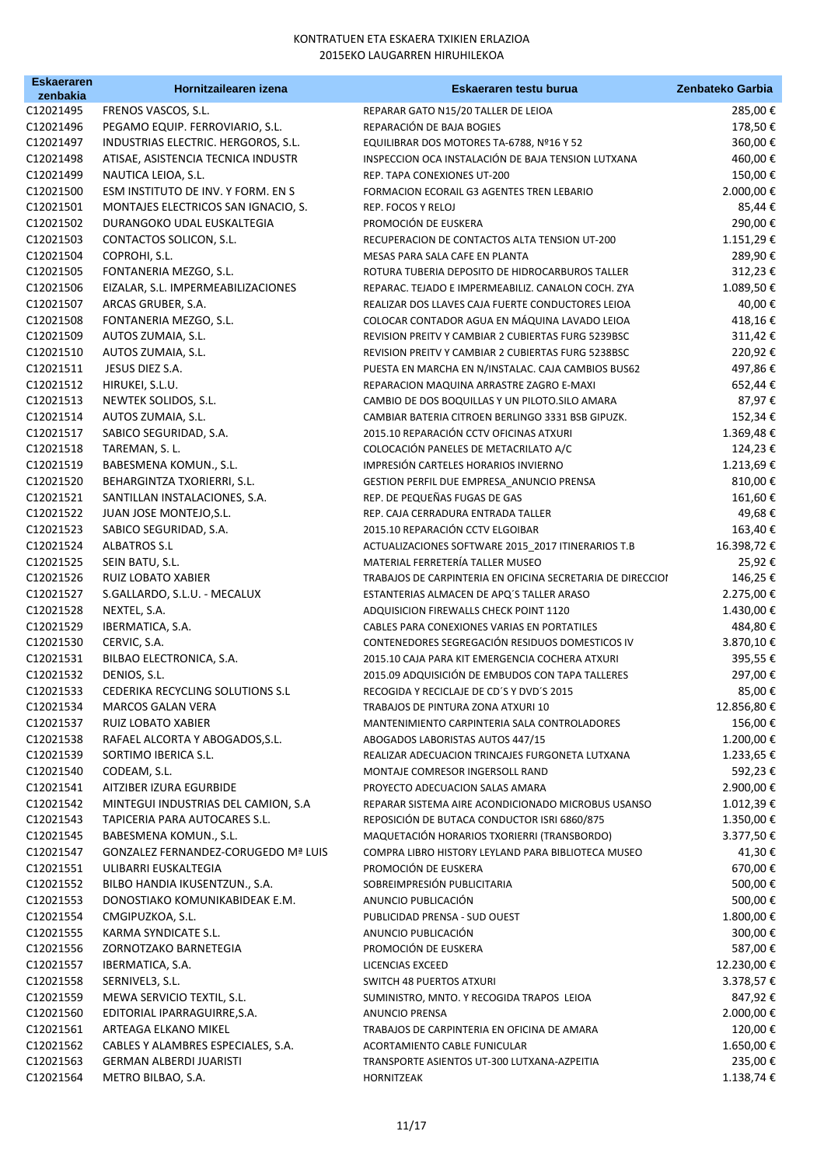| <b>Eskaeraren</b>      | Hornitzailearen izena                                          | Eskaeraren testu burua                                                                | Zenbateko Garbia        |
|------------------------|----------------------------------------------------------------|---------------------------------------------------------------------------------------|-------------------------|
| zenbakia<br>C12021495  | FRENOS VASCOS, S.L.                                            | REPARAR GATO N15/20 TALLER DE LEIOA                                                   | 285,00€                 |
| C12021496              | PEGAMO EQUIP. FERROVIARIO, S.L.                                | REPARACIÓN DE BAJA BOGIES                                                             | 178,50€                 |
| C12021497              | INDUSTRIAS ELECTRIC. HERGOROS, S.L.                            | EQUILIBRAR DOS MOTORES TA-6788, Nº16 Y 52                                             | 360,00€                 |
| C12021498              | ATISAE, ASISTENCIA TECNICA INDUSTR                             | INSPECCION OCA INSTALACIÓN DE BAJA TENSION LUTXANA                                    | 460,00€                 |
| C12021499              | NAUTICA LEIOA, S.L.                                            | REP. TAPA CONEXIONES UT-200                                                           | 150,00€                 |
| C12021500              | ESM INSTITUTO DE INV. Y FORM. EN S                             | FORMACION ECORAIL G3 AGENTES TREN LEBARIO                                             | 2.000,00€               |
| C12021501              | MONTAJES ELECTRICOS SAN IGNACIO, S.                            | REP. FOCOS Y RELOJ                                                                    | 85,44 €                 |
| C12021502              | DURANGOKO UDAL EUSKALTEGIA                                     | PROMOCIÓN DE EUSKERA                                                                  | 290,00€                 |
| C12021503              | CONTACTOS SOLICON, S.L.                                        | RECUPERACION DE CONTACTOS ALTA TENSION UT-200                                         | 1.151,29€               |
| C12021504              | COPROHI, S.L.                                                  | MESAS PARA SALA CAFE EN PLANTA                                                        | 289,90€                 |
| C12021505              | FONTANERIA MEZGO, S.L.                                         | ROTURA TUBERIA DEPOSITO DE HIDROCARBUROS TALLER                                       | 312,23€                 |
| C12021506              | EIZALAR, S.L. IMPERMEABILIZACIONES                             | REPARAC. TEJADO E IMPERMEABILIZ. CANALON COCH. ZYA                                    | 1.089,50€               |
| C12021507              | ARCAS GRUBER, S.A.                                             | REALIZAR DOS LLAVES CAJA FUERTE CONDUCTORES LEIOA                                     | 40,00€                  |
| C12021508              | FONTANERIA MEZGO, S.L.                                         | COLOCAR CONTADOR AGUA EN MÁQUINA LAVADO LEIOA                                         | 418,16€                 |
| C12021509              | AUTOS ZUMAIA, S.L.                                             | REVISION PREITV Y CAMBIAR 2 CUBIERTAS FURG 5239BSC                                    | 311,42€                 |
| C12021510              | AUTOS ZUMAIA, S.L.                                             | REVISION PREITV Y CAMBIAR 2 CUBIERTAS FURG 5238BSC                                    | 220,92€                 |
| C12021511              | JESUS DIEZ S.A.                                                | PUESTA EN MARCHA EN N/INSTALAC. CAJA CAMBIOS BUS62                                    | 497,86€                 |
| C12021512              | HIRUKEI, S.L.U.                                                | REPARACION MAQUINA ARRASTRE ZAGRO E-MAXI                                              | 652,44 €                |
| C12021513              | NEWTEK SOLIDOS, S.L.                                           | CAMBIO DE DOS BOQUILLAS Y UN PILOTO. SILO AMARA                                       | 87,97€                  |
| C12021514              | AUTOS ZUMAIA, S.L.                                             | CAMBIAR BATERIA CITROEN BERLINGO 3331 BSB GIPUZK.                                     | 152,34€                 |
| C12021517              | SABICO SEGURIDAD, S.A.                                         | 2015.10 REPARACIÓN CCTV OFICINAS ATXURI                                               | 1.369,48€               |
| C12021518              | TAREMAN, S. L.                                                 | COLOCACIÓN PANELES DE METACRILATO A/C                                                 | 124,23€                 |
| C12021519              | BABESMENA KOMUN., S.L.                                         | IMPRESIÓN CARTELES HORARIOS INVIERNO                                                  | 1.213,69€               |
| C12021520              | BEHARGINTZA TXORIERRI, S.L.                                    | GESTION PERFIL DUE EMPRESA_ANUNCIO PRENSA                                             | 810,00€                 |
| C12021521              | SANTILLAN INSTALACIONES, S.A.                                  | REP. DE PEQUEÑAS FUGAS DE GAS                                                         | 161,60€                 |
| C12021522              | JUAN JOSE MONTEJO, S.L.                                        | REP. CAJA CERRADURA ENTRADA TALLER                                                    | 49,68€                  |
| C12021523              | SABICO SEGURIDAD, S.A.                                         | 2015.10 REPARACIÓN CCTV ELGOIBAR                                                      | 163,40€                 |
| C12021524              | ALBATROS S.L                                                   | ACTUALIZACIONES SOFTWARE 2015_2017 ITINERARIOS T.B                                    | 16.398,72€              |
| C12021525              | SEIN BATU, S.L.                                                | MATERIAL FERRETERÍA TALLER MUSEO                                                      | 25,92€                  |
| C12021526              | RUIZ LOBATO XABIER                                             | TRABAJOS DE CARPINTERIA EN OFICINA SECRETARIA DE DIRECCIOI                            | 146,25€                 |
| C12021527              | S.GALLARDO, S.L.U. - MECALUX                                   | ESTANTERIAS ALMACEN DE APQ'S TALLER ARASO                                             | 2.275,00 €              |
| C12021528              | NEXTEL, S.A.                                                   | ADQUISICION FIREWALLS CHECK POINT 1120                                                | 1.430,00€               |
| C12021529              | IBERMATICA, S.A.                                               | CABLES PARA CONEXIONES VARIAS EN PORTATILES                                           | 484,80€                 |
| C12021530              | CERVIC, S.A.                                                   | CONTENEDORES SEGREGACIÓN RESIDUOS DOMESTICOS IV                                       | 3.870,10€               |
| C12021531              | BILBAO ELECTRONICA, S.A.                                       | 2015.10 CAJA PARA KIT EMERGENCIA COCHERA ATXURI                                       | 395,55€                 |
| C12021532              | DENIOS, S.L.                                                   | 2015.09 ADQUISICIÓN DE EMBUDOS CON TAPA TALLERES                                      | 297,00€                 |
| C12021533              | CEDERIKA RECYCLING SOLUTIONS S.L                               | RECOGIDA Y RECICLAJE DE CD'S Y DVD'S 2015                                             | 85,00€                  |
| C12021534              | <b>MARCOS GALAN VERA</b>                                       | TRABAJOS DE PINTURA ZONA ATXURI 10                                                    | 12.856,80€              |
| C12021537              | RUIZ LOBATO XABIER                                             | MANTENIMIENTO CARPINTERIA SALA CONTROLADORES                                          | 156,00€                 |
| C12021538              | RAFAEL ALCORTA Y ABOGADOS, S.L.                                | ABOGADOS LABORISTAS AUTOS 447/15                                                      | 1.200,00€               |
| C12021539              | SORTIMO IBERICA S.L.<br>CODEAM, S.L.                           | REALIZAR ADECUACION TRINCAJES FURGONETA LUTXANA                                       | 1.233,65 €              |
| C12021540<br>C12021541 |                                                                | MONTAJE COMRESOR INGERSOLL RAND                                                       | 592,23€                 |
| C12021542              | AITZIBER IZURA EGURBIDE<br>MINTEGUI INDUSTRIAS DEL CAMION, S.A | PROYECTO ADECUACION SALAS AMARA<br>REPARAR SISTEMA AIRE ACONDICIONADO MICROBUS USANSO | 2.900,00 €<br>1.012,39€ |
| C12021543              | TAPICERIA PARA AUTOCARES S.L.                                  | REPOSICIÓN DE BUTACA CONDUCTOR ISRI 6860/875                                          | 1.350,00€               |
| C12021545              | BABESMENA KOMUN., S.L.                                         | MAQUETACIÓN HORARIOS TXORIERRI (TRANSBORDO)                                           | 3.377,50€               |
| C12021547              | <b>GONZALEZ FERNANDEZ-CORUGEDO Mª LUIS</b>                     | COMPRA LIBRO HISTORY LEYLAND PARA BIBLIOTECA MUSEO                                    | 41,30 €                 |
| C12021551              | ULIBARRI EUSKALTEGIA                                           | PROMOCIÓN DE EUSKERA                                                                  | 670,00€                 |
| C12021552              | BILBO HANDIA IKUSENTZUN., S.A.                                 | SOBREIMPRESIÓN PUBLICITARIA                                                           | 500,00€                 |
| C12021553              | DONOSTIAKO KOMUNIKABIDEAK E.M.                                 | ANUNCIO PUBLICACIÓN                                                                   | 500,00€                 |
| C12021554              | CMGIPUZKOA, S.L.                                               | PUBLICIDAD PRENSA - SUD OUEST                                                         | 1.800,00€               |
| C12021555              | KARMA SYNDICATE S.L.                                           | ANUNCIO PUBLICACIÓN                                                                   | 300,00€                 |
| C12021556              | ZORNOTZAKO BARNETEGIA                                          | PROMOCIÓN DE EUSKERA                                                                  | 587,00€                 |
| C12021557              | IBERMATICA, S.A.                                               | LICENCIAS EXCEED                                                                      | 12.230,00€              |
| C12021558              | SERNIVEL3, S.L.                                                | SWITCH 48 PUERTOS ATXURI                                                              | 3.378,57€               |
| C12021559              | MEWA SERVICIO TEXTIL, S.L.                                     | SUMINISTRO, MNTO. Y RECOGIDA TRAPOS LEIOA                                             | 847,92€                 |
| C12021560              | EDITORIAL IPARRAGUIRRE, S.A.                                   | ANUNCIO PRENSA                                                                        | 2.000,00 €              |
| C12021561              | ARTEAGA ELKANO MIKEL                                           | TRABAJOS DE CARPINTERIA EN OFICINA DE AMARA                                           | 120,00€                 |
| C12021562              | CABLES Y ALAMBRES ESPECIALES, S.A.                             | ACORTAMIENTO CABLE FUNICULAR                                                          | 1.650,00€               |
| C12021563              | <b>GERMAN ALBERDI JUARISTI</b>                                 | TRANSPORTE ASIENTOS UT-300 LUTXANA-AZPEITIA                                           | 235,00€                 |
| C12021564              | METRO BILBAO, S.A.                                             | HORNITZEAK                                                                            | 1.138,74€               |
|                        |                                                                |                                                                                       |                         |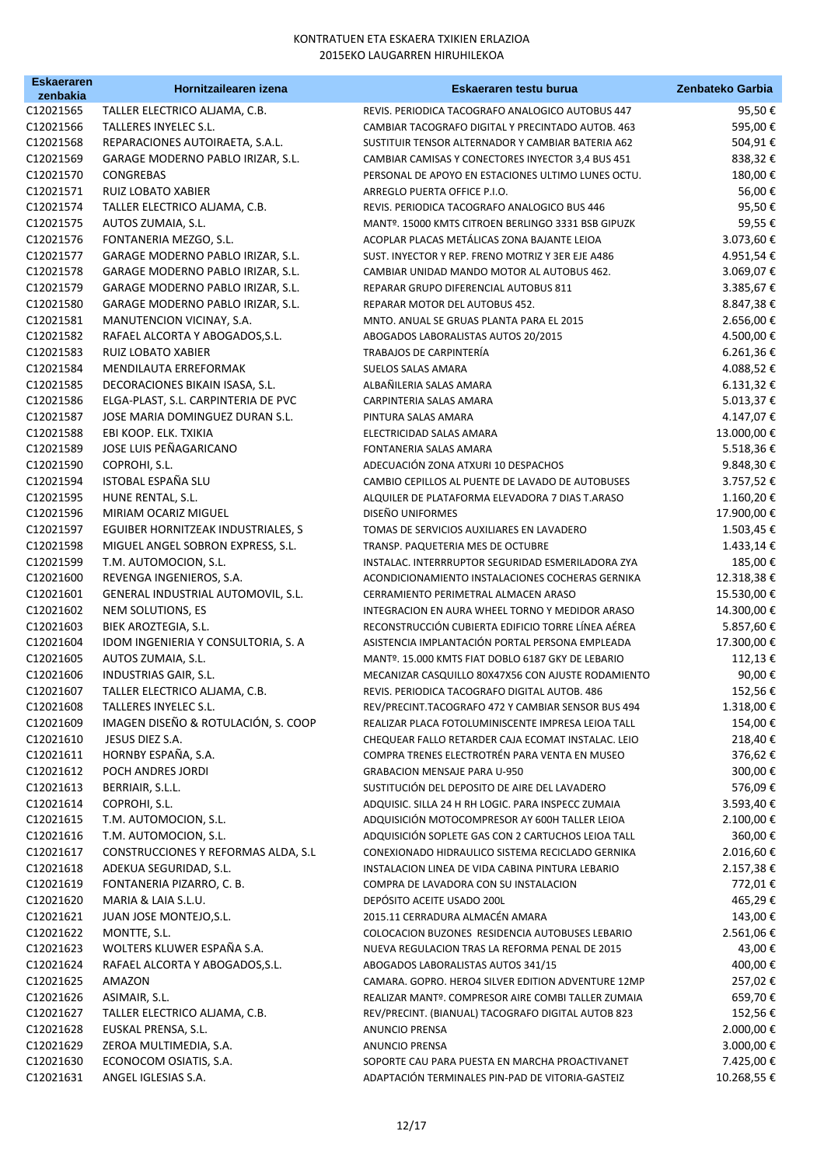| <b>Eskaeraren</b>      | Hornitzailearen izena               | Eskaeraren testu burua                                                                                 | Zenbateko Garbia  |
|------------------------|-------------------------------------|--------------------------------------------------------------------------------------------------------|-------------------|
| zenbakia<br>C12021565  | TALLER ELECTRICO ALJAMA, C.B.       |                                                                                                        |                   |
| C12021566              | TALLERES INYELEC S.L.               | REVIS. PERIODICA TACOGRAFO ANALOGICO AUTOBUS 447                                                       | 95,50€<br>595,00€ |
| C12021568              | REPARACIONES AUTOIRAETA, S.A.L.     | CAMBIAR TACOGRAFO DIGITAL Y PRECINTADO AUTOB. 463                                                      | 504,91€           |
| C12021569              | GARAGE MODERNO PABLO IRIZAR, S.L.   | SUSTITUIR TENSOR ALTERNADOR Y CAMBIAR BATERIA A62<br>CAMBIAR CAMISAS Y CONECTORES INYECTOR 3,4 BUS 451 | 838,32€           |
| C12021570              |                                     |                                                                                                        | 180,00€           |
|                        | CONGREBAS                           | PERSONAL DE APOYO EN ESTACIONES ULTIMO LUNES OCTU.                                                     |                   |
| C12021571              | RUIZ LOBATO XABIER                  | ARREGLO PUERTA OFFICE P.I.O.                                                                           | 56,00€            |
| C12021574              | TALLER ELECTRICO ALJAMA, C.B.       | REVIS. PERIODICA TACOGRAFO ANALOGICO BUS 446                                                           | 95,50€            |
| C12021575              | AUTOS ZUMAIA, S.L.                  | MANTº. 15000 KMTS CITROEN BERLINGO 3331 BSB GIPUZK                                                     | 59,55€            |
| C12021576<br>C12021577 | FONTANERIA MEZGO, S.L.              | ACOPLAR PLACAS METÁLICAS ZONA BAJANTE LEIOA                                                            | 3.073,60 €        |
|                        | GARAGE MODERNO PABLO IRIZAR, S.L.   | SUST. INYECTOR Y REP. FRENO MOTRIZ Y 3ER EJE A486                                                      | 4.951,54€         |
| C12021578              | GARAGE MODERNO PABLO IRIZAR, S.L.   | CAMBIAR UNIDAD MANDO MOTOR AL AUTOBUS 462.                                                             | 3.069,07€         |
| C12021579              | GARAGE MODERNO PABLO IRIZAR, S.L.   | REPARAR GRUPO DIFERENCIAL AUTOBUS 811                                                                  | 3.385,67€         |
| C12021580              | GARAGE MODERNO PABLO IRIZAR, S.L.   | REPARAR MOTOR DEL AUTOBUS 452.                                                                         | 8.847,38€         |
| C12021581              | MANUTENCION VICINAY, S.A.           | MNTO. ANUAL SE GRUAS PLANTA PARA EL 2015                                                               | 2.656,00 €        |
| C12021582              | RAFAEL ALCORTA Y ABOGADOS,S.L.      | ABOGADOS LABORALISTAS AUTOS 20/2015                                                                    | 4.500,00€         |
| C12021583              | RUIZ LOBATO XABIER                  | TRABAJOS DE CARPINTERÍA                                                                                | 6.261,36€         |
| C12021584              | MENDILAUTA ERREFORMAK               | <b>SUELOS SALAS AMARA</b>                                                                              | 4.088,52€         |
| C12021585              | DECORACIONES BIKAIN ISASA, S.L.     | ALBAÑILERIA SALAS AMARA                                                                                | 6.131,32€         |
| C12021586              | ELGA-PLAST, S.L. CARPINTERIA DE PVC | CARPINTERIA SALAS AMARA                                                                                | 5.013,37€         |
| C12021587              | JOSE MARIA DOMINGUEZ DURAN S.L.     | PINTURA SALAS AMARA                                                                                    | 4.147,07€         |
| C12021588              | EBI KOOP. ELK. TXIKIA               | ELECTRICIDAD SALAS AMARA                                                                               | 13.000,00€        |
| C12021589              | JOSE LUIS PEÑAGARICANO              | <b>FONTANERIA SALAS AMARA</b>                                                                          | 5.518,36€         |
| C12021590              | COPROHI, S.L.                       | ADECUACIÓN ZONA ATXURI 10 DESPACHOS                                                                    | 9.848,30€         |
| C12021594              | ISTOBAL ESPAÑA SLU                  | CAMBIO CEPILLOS AL PUENTE DE LAVADO DE AUTOBUSES                                                       | 3.757,52€         |
| C12021595              | HUNE RENTAL, S.L.                   | ALQUILER DE PLATAFORMA ELEVADORA 7 DIAS T.ARASO                                                        | 1.160,20€         |
| C12021596              | MIRIAM OCARIZ MIGUEL                | DISEÑO UNIFORMES                                                                                       | 17.900,00€        |
| C12021597              | EGUIBER HORNITZEAK INDUSTRIALES, S  | TOMAS DE SERVICIOS AUXILIARES EN LAVADERO                                                              | 1.503,45€         |
| C12021598              | MIGUEL ANGEL SOBRON EXPRESS, S.L.   | TRANSP. PAQUETERIA MES DE OCTUBRE                                                                      | 1.433,14€         |
| C12021599              | T.M. AUTOMOCION, S.L.               | INSTALAC. INTERRRUPTOR SEGURIDAD ESMERILADORA ZYA                                                      | 185,00€           |
| C12021600              | REVENGA INGENIEROS, S.A.            | ACONDICIONAMIENTO INSTALACIONES COCHERAS GERNIKA                                                       | 12.318,38 €       |
| C12021601              | GENERAL INDUSTRIAL AUTOMOVIL, S.L.  | CERRAMIENTO PERIMETRAL ALMACEN ARASO                                                                   | 15.530,00 €       |
| C12021602              | NEM SOLUTIONS, ES                   | INTEGRACION EN AURA WHEEL TORNO Y MEDIDOR ARASO                                                        | 14.300,00 €       |
| C12021603              | BIEK AROZTEGIA, S.L.                | RECONSTRUCCIÓN CUBIERTA EDIFICIO TORRE LÍNEA AÉREA                                                     | 5.857,60€         |
| C12021604              | IDOM INGENIERIA Y CONSULTORIA, S. A | ASISTENCIA IMPLANTACIÓN PORTAL PERSONA EMPLEADA                                                        | 17.300,00€        |
| C12021605              | AUTOS ZUMAIA, S.L.                  | MANTº. 15.000 KMTS FIAT DOBLO 6187 GKY DE LEBARIO                                                      | 112,13€           |
| C12021606              | INDUSTRIAS GAIR, S.L.               | MECANIZAR CASQUILLO 80X47X56 CON AJUSTE RODAMIENTO                                                     | 90,00€            |
| C12021607              | TALLER ELECTRICO ALJAMA, C.B.       | REVIS. PERIODICA TACOGRAFO DIGITAL AUTOB. 486                                                          | 152,56€           |
| C12021608              | TALLERES INYELEC S.L.               | REV/PRECINT.TACOGRAFO 472 Y CAMBIAR SENSOR BUS 494                                                     | 1.318,00 €        |
| C12021609              | IMAGEN DISEÑO & ROTULACIÓN, S. COOP | REALIZAR PLACA FOTOLUMINISCENTE IMPRESA LEIOA TALL                                                     | 154,00€           |
| C12021610              | JESUS DIEZ S.A.                     | CHEQUEAR FALLO RETARDER CAJA ECOMAT INSTALAC. LEIO                                                     | 218,40€           |
| C12021611              | HORNBY ESPAÑA, S.A.                 | COMPRA TRENES ELECTROTRÉN PARA VENTA EN MUSEO                                                          | 376,62€           |
| C12021612              | POCH ANDRES JORDI                   | <b>GRABACION MENSAJE PARA U-950</b>                                                                    | 300,00€           |
| C12021613              | BERRIAIR, S.L.L.                    | SUSTITUCIÓN DEL DEPOSITO DE AIRE DEL LAVADERO                                                          | 576,09€           |
| C12021614              | COPROHI, S.L.                       | ADQUISIC. SILLA 24 H RH LOGIC. PARA INSPECC ZUMAIA                                                     | 3.593,40€         |
| C12021615              | T.M. AUTOMOCION, S.L.               | ADQUISICIÓN MOTOCOMPRESOR AY 600H TALLER LEIOA                                                         | 2.100,00 €        |
| C12021616              | T.M. AUTOMOCION, S.L.               | ADQUISICIÓN SOPLETE GAS CON 2 CARTUCHOS LEIOA TALL                                                     | 360,00€           |
| C12021617              | CONSTRUCCIONES Y REFORMAS ALDA, S.L | CONEXIONADO HIDRAULICO SISTEMA RECICLADO GERNIKA                                                       | 2.016,60€         |
| C12021618              | ADEKUA SEGURIDAD, S.L.              | INSTALACION LINEA DE VIDA CABINA PINTURA LEBARIO                                                       | 2.157,38€         |
| C12021619              | FONTANERIA PIZARRO, C. B.           | COMPRA DE LAVADORA CON SU INSTALACION                                                                  | 772,01€           |
| C12021620              | MARIA & LAIA S.L.U.                 | DEPÓSITO ACEITE USADO 200L                                                                             | 465,29€           |
| C12021621              | JUAN JOSE MONTEJO, S.L.             | 2015.11 CERRADURA ALMACÉN AMARA                                                                        | 143,00 €          |
| C12021622              | MONTTE, S.L.                        | COLOCACION BUZONES RESIDENCIA AUTOBUSES LEBARIO                                                        | 2.561,06€         |
| C12021623              | WOLTERS KLUWER ESPAÑA S.A.          | NUEVA REGULACION TRAS LA REFORMA PENAL DE 2015                                                         | 43,00 €           |
| C12021624              | RAFAEL ALCORTA Y ABOGADOS, S.L.     | ABOGADOS LABORALISTAS AUTOS 341/15                                                                     | 400,00€           |
| C12021625              | AMAZON                              | CAMARA. GOPRO. HERO4 SILVER EDITION ADVENTURE 12MP                                                     | 257,02€           |
| C12021626              | ASIMAIR, S.L.                       | REALIZAR MANTº. COMPRESOR AIRE COMBI TALLER ZUMAIA                                                     | 659,70€           |
| C12021627              | TALLER ELECTRICO ALJAMA, C.B.       | REV/PRECINT. (BIANUAL) TACOGRAFO DIGITAL AUTOB 823                                                     | 152,56€           |
| C12021628              | EUSKAL PRENSA, S.L.                 | ANUNCIO PRENSA                                                                                         | 2.000,00 €        |
| C12021629              | ZEROA MULTIMEDIA, S.A.              | ANUNCIO PRENSA                                                                                         | 3.000,00 €        |
| C12021630              | ECONOCOM OSIATIS, S.A.              | SOPORTE CAU PARA PUESTA EN MARCHA PROACTIVANET                                                         | 7.425,00 €        |
| C12021631              | ANGEL IGLESIAS S.A.                 | ADAPTACIÓN TERMINALES PIN-PAD DE VITORIA-GASTEIZ                                                       | 10.268,55 €       |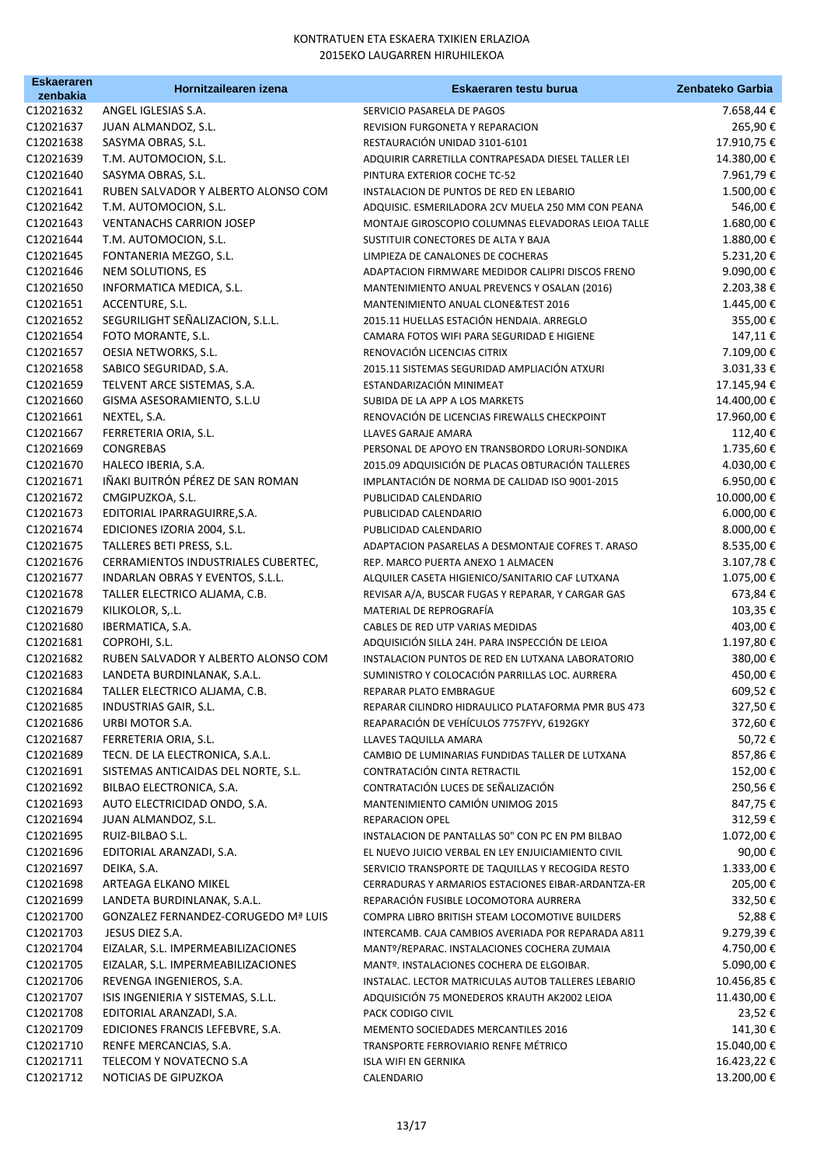| <b>Eskaeraren</b><br>zenbakia | Hornitzailearen izena                               | Eskaeraren testu burua                                                 | Zenbateko Garbia      |
|-------------------------------|-----------------------------------------------------|------------------------------------------------------------------------|-----------------------|
| C12021632                     | ANGEL IGLESIAS S.A.                                 | SERVICIO PASARELA DE PAGOS                                             | 7.658,44 €            |
| C12021637                     | JUAN ALMANDOZ, S.L.                                 | REVISION FURGONETA Y REPARACION                                        | 265,90€               |
| C12021638                     | SASYMA OBRAS, S.L.                                  | RESTAURACIÓN UNIDAD 3101-6101                                          | 17.910,75€            |
| C12021639                     | T.M. AUTOMOCION, S.L.                               | ADQUIRIR CARRETILLA CONTRAPESADA DIESEL TALLER LEI                     | 14.380,00€            |
| C12021640                     | SASYMA OBRAS, S.L.                                  | PINTURA EXTERIOR COCHE TC-52                                           | 7.961,79€             |
| C12021641                     | RUBEN SALVADOR Y ALBERTO ALONSO COM                 | INSTALACION DE PUNTOS DE RED EN LEBARIO                                | 1.500,00€             |
| C12021642                     | T.M. AUTOMOCION, S.L.                               | ADQUISIC. ESMERILADORA 2CV MUELA 250 MM CON PEANA                      | 546,00€               |
| C12021643                     | <b>VENTANACHS CARRION JOSEP</b>                     | MONTAJE GIROSCOPIO COLUMNAS ELEVADORAS LEIOA TALLE                     | 1.680,00€             |
| C12021644                     | T.M. AUTOMOCION, S.L.                               | SUSTITUIR CONECTORES DE ALTA Y BAJA                                    | 1.880,00€             |
| C12021645                     | FONTANERIA MEZGO, S.L.                              | LIMPIEZA DE CANALONES DE COCHERAS                                      | 5.231,20€             |
| C12021646                     | NEM SOLUTIONS, ES                                   | ADAPTACION FIRMWARE MEDIDOR CALIPRI DISCOS FRENO                       | 9.090,00€             |
| C12021650                     | INFORMATICA MEDICA, S.L.                            | MANTENIMIENTO ANUAL PREVENCS Y OSALAN (2016)                           | 2.203,38€             |
| C12021651                     | ACCENTURE, S.L.                                     | MANTENIMIENTO ANUAL CLONE& TEST 2016                                   | 1.445,00 €            |
| C12021652                     | SEGURILIGHT SEÑALIZACION, S.L.L.                    | 2015.11 HUELLAS ESTACIÓN HENDAIA. ARREGLO                              | 355,00€               |
| C12021654                     | FOTO MORANTE, S.L.                                  | CAMARA FOTOS WIFI PARA SEGURIDAD E HIGIENE                             | 147,11€               |
| C12021657                     | OESIA NETWORKS, S.L.                                | RENOVACIÓN LICENCIAS CITRIX                                            | 7.109,00€             |
| C12021658                     | SABICO SEGURIDAD, S.A.                              | 2015.11 SISTEMAS SEGURIDAD AMPLIACIÓN ATXURI                           | 3.031,33 €            |
| C12021659                     | TELVENT ARCE SISTEMAS, S.A.                         | ESTANDARIZACIÓN MINIMEAT                                               | 17.145,94 €           |
| C12021660                     | GISMA ASESORAMIENTO, S.L.U                          | SUBIDA DE LA APP A LOS MARKETS                                         | 14.400,00 €           |
| C12021661                     | NEXTEL, S.A.                                        | RENOVACIÓN DE LICENCIAS FIREWALLS CHECKPOINT                           | 17.960,00€            |
| C12021667                     | FERRETERIA ORIA, S.L.                               | LLAVES GARAJE AMARA                                                    | 112,40€               |
| C12021669                     | <b>CONGREBAS</b>                                    | PERSONAL DE APOYO EN TRANSBORDO LORURI-SONDIKA                         | 1.735,60€             |
| C12021670                     | HALECO IBERIA, S.A.                                 | 2015.09 ADQUISICIÓN DE PLACAS OBTURACIÓN TALLERES                      | 4.030,00€             |
| C12021671                     | IÑAKI BUITRÓN PÉREZ DE SAN ROMAN                    | IMPLANTACIÓN DE NORMA DE CALIDAD ISO 9001-2015                         | 6.950,00€             |
| C12021672                     | CMGIPUZKOA, S.L.                                    | PUBLICIDAD CALENDARIO                                                  | 10.000,00€            |
| C12021673                     | EDITORIAL IPARRAGUIRRE, S.A.                        | PUBLICIDAD CALENDARIO                                                  | 6.000,00€             |
| C12021674                     | EDICIONES IZORIA 2004, S.L.                         | PUBLICIDAD CALENDARIO                                                  | 8.000,00 €            |
| C12021675                     | TALLERES BETI PRESS, S.L.                           | ADAPTACION PASARELAS A DESMONTAJE COFRES T. ARASO                      | 8.535,00 €            |
| C12021676                     | CERRAMIENTOS INDUSTRIALES CUBERTEC,                 | REP. MARCO PUERTA ANEXO 1 ALMACEN                                      | 3.107,78€             |
| C12021677                     | INDARLAN OBRAS Y EVENTOS, S.L.L.                    | ALQUILER CASETA HIGIENICO/SANITARIO CAF LUTXANA                        | 1.075,00 €            |
| C12021678                     | TALLER ELECTRICO ALJAMA, C.B.                       | REVISAR A/A, BUSCAR FUGAS Y REPARAR, Y CARGAR GAS                      | 673,84€               |
| C12021679                     | KILIKOLOR, S,.L.                                    | MATERIAL DE REPROGRAFÍA                                                | 103,35€               |
| C12021680                     | IBERMATICA, S.A.                                    | CABLES DE RED UTP VARIAS MEDIDAS                                       | 403,00€               |
| C12021681                     | COPROHI, S.L.                                       | ADQUISICIÓN SILLA 24H. PARA INSPECCIÓN DE LEIOA                        | 1.197,80€             |
| C12021682                     | RUBEN SALVADOR Y ALBERTO ALONSO COM                 | INSTALACION PUNTOS DE RED EN LUTXANA LABORATORIO                       | 380,00€               |
| C12021683                     | LANDETA BURDINLANAK, S.A.L.                         | SUMINISTRO Y COLOCACIÓN PARRILLAS LOC. AURRERA                         | 450,00€               |
| C12021684                     | TALLER ELECTRICO ALJAMA, C.B.                       | REPARAR PLATO EMBRAGUE                                                 | 609,52€               |
| C12021685                     | INDUSTRIAS GAIR, S.L.                               | REPARAR CILINDRO HIDRAULICO PLATAFORMA PMR BUS 473                     | 327,50€               |
| C12021686                     | URBI MOTOR S.A.                                     | REAPARACIÓN DE VEHÍCULOS 7757FYV, 6192GKY                              | 372,60€               |
| C12021687                     | FERRETERIA ORIA, S.L.                               | LLAVES TAQUILLA AMARA                                                  | 50,72€                |
| C12021689                     | TECN. DE LA ELECTRONICA, S.A.L.                     | CAMBIO DE LUMINARIAS FUNDIDAS TALLER DE LUTXANA                        | 857,86€               |
| C12021691                     | SISTEMAS ANTICAIDAS DEL NORTE, S.L.                 | CONTRATACIÓN CINTA RETRACTIL                                           | 152,00€               |
| C12021692                     | BILBAO ELECTRONICA, S.A.                            | CONTRATACIÓN LUCES DE SEÑALIZACIÓN<br>MANTENIMIENTO CAMIÓN UNIMOG 2015 | 250,56€               |
| C12021693<br>C12021694        | AUTO ELECTRICIDAD ONDO, S.A.<br>JUAN ALMANDOZ, S.L. |                                                                        | 847,75€               |
| C12021695                     | RUIZ-BILBAO S.L.                                    | REPARACION OPEL<br>INSTALACION DE PANTALLAS 50" CON PC EN PM BILBAO    | 312,59€<br>1.072,00 € |
| C12021696                     | EDITORIAL ARANZADI, S.A.                            | EL NUEVO JUICIO VERBAL EN LEY ENJUICIAMIENTO CIVIL                     | 90,00€                |
| C12021697                     | DEIKA, S.A.                                         | SERVICIO TRANSPORTE DE TAQUILLAS Y RECOGIDA RESTO                      | 1.333,00 €            |
| C12021698                     | ARTEAGA ELKANO MIKEL                                | CERRADURAS Y ARMARIOS ESTACIONES EIBAR-ARDANTZA-ER                     | 205,00€               |
| C12021699                     | LANDETA BURDINLANAK, S.A.L.                         | REPARACIÓN FUSIBLE LOCOMOTORA AURRERA                                  | 332,50€               |
| C12021700                     | <b>GONZALEZ FERNANDEZ-CORUGEDO Mª LUIS</b>          | COMPRA LIBRO BRITISH STEAM LOCOMOTIVE BUILDERS                         | 52,88€                |
| C12021703                     | JESUS DIEZ S.A.                                     | INTERCAMB. CAJA CAMBIOS AVERIADA POR REPARADA A811                     | 9.279,39€             |
| C12021704                     | EIZALAR, S.L. IMPERMEABILIZACIONES                  | MANTº/REPARAC. INSTALACIONES COCHERA ZUMAIA                            | 4.750,00 €            |
| C12021705                     | EIZALAR, S.L. IMPERMEABILIZACIONES                  | MANTº. INSTALACIONES COCHERA DE ELGOIBAR.                              | 5.090,00 €            |
| C12021706                     | REVENGA INGENIEROS, S.A.                            | INSTALAC. LECTOR MATRICULAS AUTOB TALLERES LEBARIO                     | 10.456,85€            |
| C12021707                     | ISIS INGENIERIA Y SISTEMAS, S.L.L.                  | ADQUISICIÓN 75 MONEDEROS KRAUTH AK2002 LEIOA                           | 11.430,00 €           |
| C12021708                     | EDITORIAL ARANZADI, S.A.                            | PACK CODIGO CIVIL                                                      | 23,52€                |
| C12021709                     | EDICIONES FRANCIS LEFEBVRE, S.A.                    | MEMENTO SOCIEDADES MERCANTILES 2016                                    | 141,30€               |
| C12021710                     | RENFE MERCANCIAS, S.A.                              | TRANSPORTE FERROVIARIO RENFE MÉTRICO                                   | 15.040,00 €           |
| C12021711                     | TELECOM Y NOVATECNO S.A                             | ISLA WIFI EN GERNIKA                                                   | 16.423,22 €           |
| C12021712                     | NOTICIAS DE GIPUZKOA                                | CALENDARIO                                                             | 13.200,00€            |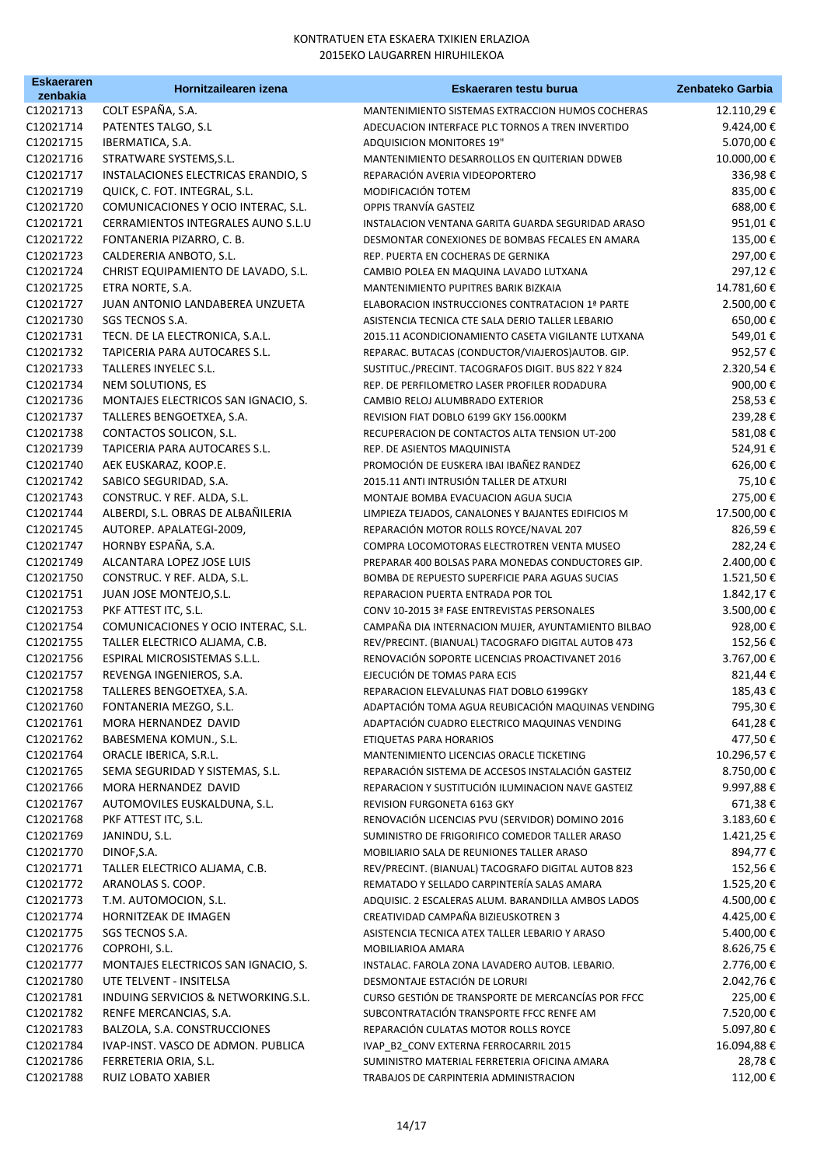| <b>Eskaeraren</b>      | Hornitzailearen izena               | Eskaeraren testu burua                                              | Zenbateko Garbia       |
|------------------------|-------------------------------------|---------------------------------------------------------------------|------------------------|
| zenbakia<br>C12021713  | COLT ESPAÑA, S.A.                   | MANTENIMIENTO SISTEMAS EXTRACCION HUMOS COCHERAS                    | 12.110,29€             |
| C12021714              | PATENTES TALGO, S.L                 | ADECUACION INTERFACE PLC TORNOS A TREN INVERTIDO                    | 9.424,00€              |
| C12021715              | IBERMATICA, S.A.                    | ADQUISICION MONITORES 19"                                           | 5.070,00€              |
| C12021716              | STRATWARE SYSTEMS, S.L.             | MANTENIMIENTO DESARROLLOS EN QUITERIAN DDWEB                        | 10.000,00€             |
| C12021717              | INSTALACIONES ELECTRICAS ERANDIO, S | REPARACIÓN AVERIA VIDEOPORTERO                                      | 336,98€                |
| C12021719              | QUICK, C. FOT. INTEGRAL, S.L.       | MODIFICACIÓN TOTEM                                                  | 835,00€                |
| C12021720              | COMUNICACIONES Y OCIO INTERAC, S.L. | OPPIS TRANVÍA GASTEIZ                                               | 688,00€                |
| C12021721              | CERRAMIENTOS INTEGRALES AUNO S.L.U  | INSTALACION VENTANA GARITA GUARDA SEGURIDAD ARASO                   | 951,01€                |
| C12021722              | FONTANERIA PIZARRO, C. B.           | DESMONTAR CONEXIONES DE BOMBAS FECALES EN AMARA                     | 135,00€                |
| C12021723              | CALDERERIA ANBOTO, S.L.             | REP. PUERTA EN COCHERAS DE GERNIKA                                  | 297,00€                |
| C12021724              | CHRIST EQUIPAMIENTO DE LAVADO, S.L. | CAMBIO POLEA EN MAQUINA LAVADO LUTXANA                              | 297,12€                |
| C12021725              | ETRA NORTE, S.A.                    | MANTENIMIENTO PUPITRES BARIK BIZKAIA                                | 14.781,60€             |
| C12021727              | JUAN ANTONIO LANDABEREA UNZUETA     | ELABORACION INSTRUCCIONES CONTRATACION 1ª PARTE                     | 2.500,00€              |
| C12021730              | SGS TECNOS S.A.                     | ASISTENCIA TECNICA CTE SALA DERIO TALLER LEBARIO                    | 650,00€                |
| C12021731              | TECN. DE LA ELECTRONICA, S.A.L.     | 2015.11 ACONDICIONAMIENTO CASETA VIGILANTE LUTXANA                  | 549,01€                |
| C12021732              | TAPICERIA PARA AUTOCARES S.L.       | REPARAC. BUTACAS (CONDUCTOR/VIAJEROS) AUTOB. GIP.                   | 952,57€                |
| C12021733              | TALLERES INYELEC S.L.               | SUSTITUC./PRECINT. TACOGRAFOS DIGIT. BUS 822 Y 824                  | 2.320,54€              |
| C12021734              | NEM SOLUTIONS, ES                   | REP. DE PERFILOMETRO LASER PROFILER RODADURA                        | 900,00€                |
| C12021736              | MONTAJES ELECTRICOS SAN IGNACIO, S. | CAMBIO RELOJ ALUMBRADO EXTERIOR                                     | 258,53€                |
| C12021737              | TALLERES BENGOETXEA, S.A.           | REVISION FIAT DOBLO 6199 GKY 156.000KM                              | 239,28€                |
| C12021738              | CONTACTOS SOLICON, S.L.             | RECUPERACION DE CONTACTOS ALTA TENSION UT-200                       | 581,08€                |
| C12021739              | TAPICERIA PARA AUTOCARES S.L.       | REP. DE ASIENTOS MAQUINISTA                                         | 524,91€                |
| C12021740              | AEK EUSKARAZ, KOOP.E.               | PROMOCIÓN DE EUSKERA IBAI IBAÑEZ RANDEZ                             | 626,00€                |
| C12021742              | SABICO SEGURIDAD, S.A.              | 2015.11 ANTI INTRUSIÓN TALLER DE ATXURI                             | 75,10€                 |
| C12021743              | CONSTRUC. Y REF. ALDA, S.L.         | MONTAJE BOMBA EVACUACION AGUA SUCIA                                 | 275,00€                |
| C12021744              | ALBERDI, S.L. OBRAS DE ALBAÑILERIA  | LIMPIEZA TEJADOS, CANALONES Y BAJANTES EDIFICIOS M                  | 17.500,00€             |
| C12021745              | AUTOREP. APALATEGI-2009,            | REPARACIÓN MOTOR ROLLS ROYCE/NAVAL 207                              | 826,59€                |
| C12021747              | HORNBY ESPAÑA, S.A.                 | COMPRA LOCOMOTORAS ELECTROTREN VENTA MUSEO                          | 282,24€                |
| C12021749              | ALCANTARA LOPEZ JOSE LUIS           | PREPARAR 400 BOLSAS PARA MONEDAS CONDUCTORES GIP.                   | 2.400,00 €             |
| C12021750              | CONSTRUC. Y REF. ALDA, S.L.         | BOMBA DE REPUESTO SUPERFICIE PARA AGUAS SUCIAS                      | 1.521,50€              |
| C12021751              | JUAN JOSE MONTEJO, S.L.             | REPARACION PUERTA ENTRADA POR TOL                                   | 1.842,17€              |
| C12021753              | PKF ATTEST ITC, S.L.                | CONV 10-2015 3ª FASE ENTREVISTAS PERSONALES                         | 3.500,00€              |
| C12021754              | COMUNICACIONES Y OCIO INTERAC, S.L. | CAMPAÑA DIA INTERNACION MUJER, AYUNTAMIENTO BILBAO                  | 928,00€                |
| C12021755              | TALLER ELECTRICO ALJAMA, C.B.       | REV/PRECINT. (BIANUAL) TACOGRAFO DIGITAL AUTOB 473                  | 152,56€                |
| C12021756              | ESPIRAL MICROSISTEMAS S.L.L.        | RENOVACIÓN SOPORTE LICENCIAS PROACTIVANET 2016                      | 3.767,00€              |
| C12021757              | REVENGA INGENIEROS, S.A.            | EJECUCIÓN DE TOMAS PARA ECIS                                        | 821,44€                |
| C12021758              | TALLERES BENGOETXEA, S.A.           | REPARACION ELEVALUNAS FIAT DOBLO 6199GKY                            | 185,43€                |
| C12021760              | FONTANERIA MEZGO, S.L.              | ADAPTACIÓN TOMA AGUA REUBICACIÓN MAQUINAS VENDING                   | 795,30€                |
| C12021761              | MORA HERNANDEZ DAVID                | ADAPTACIÓN CUADRO ELECTRICO MAQUINAS VENDING                        | 641,28€                |
| C12021762              | BABESMENA KOMUN., S.L.              | ETIQUETAS PARA HORARIOS                                             | 477,50€                |
| C12021764              | ORACLE IBERICA, S.R.L.              | MANTENIMIENTO LICENCIAS ORACLE TICKETING                            | 10.296,57€             |
| C12021765              | SEMA SEGURIDAD Y SISTEMAS, S.L.     | REPARACIÓN SISTEMA DE ACCESOS INSTALACIÓN GASTEIZ                   | 8.750,00€              |
| C12021766              | MORA HERNANDEZ DAVID                | REPARACION Y SUSTITUCIÓN ILUMINACION NAVE GASTEIZ                   | 9.997,88€              |
| C12021767              | AUTOMOVILES EUSKALDUNA, S.L.        | REVISION FURGONETA 6163 GKY                                         | 671,38€                |
| C12021768              | PKF ATTEST ITC, S.L.                | RENOVACIÓN LICENCIAS PVU (SERVIDOR) DOMINO 2016                     | 3.183,60€              |
| C12021769              | JANINDU, S.L.                       | SUMINISTRO DE FRIGORIFICO COMEDOR TALLER ARASO                      | 1.421,25€              |
| C12021770              | DINOF, S.A.                         | MOBILIARIO SALA DE REUNIONES TALLER ARASO                           | 894,77€                |
| C12021771              | TALLER ELECTRICO ALJAMA, C.B.       | REV/PRECINT. (BIANUAL) TACOGRAFO DIGITAL AUTOB 823                  | 152,56€                |
| C12021772              | ARANOLAS S. COOP.                   | REMATADO Y SELLADO CARPINTERÍA SALAS AMARA                          | 1.525,20€              |
| C12021773              | T.M. AUTOMOCION, S.L.               | ADQUISIC. 2 ESCALERAS ALUM. BARANDILLA AMBOS LADOS                  | 4.500,00€              |
| C12021774              | HORNITZEAK DE IMAGEN                | CREATIVIDAD CAMPAÑA BIZIEUSKOTREN 3                                 | 4.425,00 €             |
| C12021775<br>C12021776 | SGS TECNOS S.A.<br>COPROHI, S.L.    | ASISTENCIA TECNICA ATEX TALLER LEBARIO Y ARASO<br>MOBILIARIOA AMARA | 5.400,00€<br>8.626,75€ |
| C12021777              | MONTAJES ELECTRICOS SAN IGNACIO, S. | INSTALAC. FAROLA ZONA LAVADERO AUTOB. LEBARIO.                      | 2.776,00 €             |
| C12021780              | UTE TELVENT - INSITELSA             | DESMONTAJE ESTACIÓN DE LORURI                                       | 2.042,76€              |
| C12021781              | INDUING SERVICIOS & NETWORKING.S.L. | CURSO GESTIÓN DE TRANSPORTE DE MERCANCÍAS POR FFCC                  | 225,00€                |
| C12021782              | RENFE MERCANCIAS, S.A.              | SUBCONTRATACIÓN TRANSPORTE FFCC RENFE AM                            | 7.520,00€              |
| C12021783              | BALZOLA, S.A. CONSTRUCCIONES        | REPARACIÓN CULATAS MOTOR ROLLS ROYCE                                | 5.097,80€              |
| C12021784              | IVAP-INST. VASCO DE ADMON. PUBLICA  | IVAP_B2_CONV EXTERNA FERROCARRIL 2015                               | 16.094,88€             |
| C12021786              | FERRETERIA ORIA, S.L.               | SUMINISTRO MATERIAL FERRETERIA OFICINA AMARA                        | 28,78€                 |
| C12021788              | RUIZ LOBATO XABIER                  | TRABAJOS DE CARPINTERIA ADMINISTRACION                              | 112,00€                |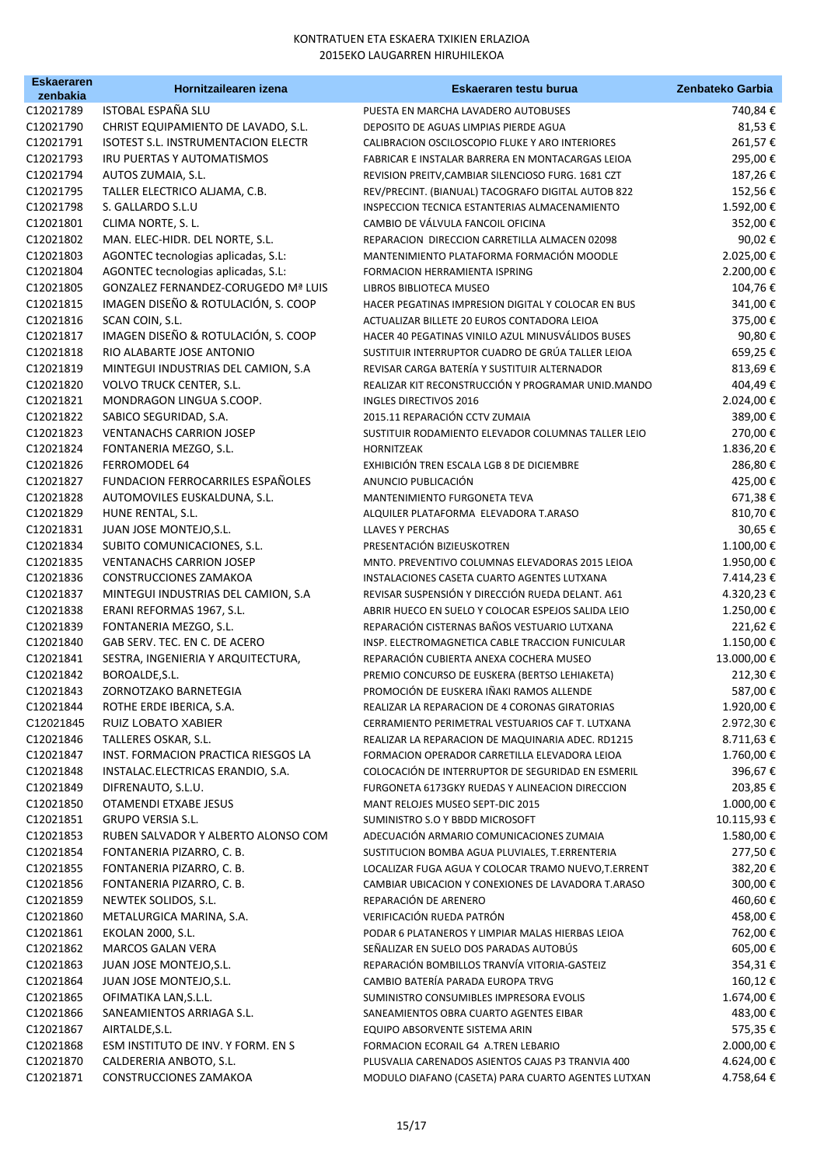| <b>Eskaeraren</b>      | Hornitzailearen izena                            | Eskaeraren testu burua                                                                     | Zenbateko Garbia    |
|------------------------|--------------------------------------------------|--------------------------------------------------------------------------------------------|---------------------|
| zenbakia<br>C12021789  | ISTOBAL ESPAÑA SLU                               | PUESTA EN MARCHA LAVADERO AUTOBUSES                                                        | 740,84 €            |
| C12021790              | CHRIST EQUIPAMIENTO DE LAVADO, S.L.              | DEPOSITO DE AGUAS LIMPIAS PIERDE AGUA                                                      | 81,53€              |
| C12021791              | <b>ISOTEST S.L. INSTRUMENTACION ELECTR</b>       | CALIBRACION OSCILOSCOPIO FLUKE Y ARO INTERIORES                                            | 261,57€             |
| C12021793              | IRU PUERTAS Y AUTOMATISMOS                       | FABRICAR E INSTALAR BARRERA EN MONTACARGAS LEIOA                                           | 295,00€             |
| C12021794              | AUTOS ZUMAIA, S.L.                               | REVISION PREITV, CAMBIAR SILENCIOSO FURG. 1681 CZT                                         | 187,26€             |
| C12021795              | TALLER ELECTRICO ALJAMA, C.B.                    | REV/PRECINT. (BIANUAL) TACOGRAFO DIGITAL AUTOB 822                                         | 152,56€             |
| C12021798              | S. GALLARDO S.L.U                                | INSPECCION TECNICA ESTANTERIAS ALMACENAMIENTO                                              | 1.592,00€           |
| C12021801              | CLIMA NORTE, S. L.                               | CAMBIO DE VÁLVULA FANCOIL OFICINA                                                          | 352,00€             |
| C12021802              | MAN. ELEC-HIDR. DEL NORTE, S.L.                  | REPARACION DIRECCION CARRETILLA ALMACEN 02098                                              | 90,02€              |
| C12021803              | AGONTEC tecnologias aplicadas, S.L:              | MANTENIMIENTO PLATAFORMA FORMACIÓN MOODLE                                                  | 2.025,00€           |
| C12021804              | AGONTEC tecnologias aplicadas, S.L:              | FORMACION HERRAMIENTA ISPRING                                                              | 2.200,00€           |
| C12021805              | <b>GONZALEZ FERNANDEZ-CORUGEDO Mª LUIS</b>       | LIBROS BIBLIOTECA MUSEO                                                                    | 104,76€             |
| C12021815              | IMAGEN DISEÑO & ROTULACIÓN, S. COOP              | HACER PEGATINAS IMPRESION DIGITAL Y COLOCAR EN BUS                                         | 341,00€             |
| C12021816              | SCAN COIN, S.L.                                  | ACTUALIZAR BILLETE 20 EUROS CONTADORA LEIOA                                                | 375,00€             |
| C12021817              | IMAGEN DISEÑO & ROTULACIÓN, S. COOP              | HACER 40 PEGATINAS VINILO AZUL MINUSVÁLIDOS BUSES                                          | 90,80€              |
| C12021818              | RIO ALABARTE JOSE ANTONIO                        | SUSTITUIR INTERRUPTOR CUADRO DE GRÚA TALLER LEIOA                                          | 659,25€             |
| C12021819              | MINTEGUI INDUSTRIAS DEL CAMION, S.A              | REVISAR CARGA BATERÍA Y SUSTITUIR ALTERNADOR                                               | 813,69€             |
| C12021820              | <b>VOLVO TRUCK CENTER, S.L.</b>                  | REALIZAR KIT RECONSTRUCCIÓN Y PROGRAMAR UNID.MANDO                                         | 404,49€             |
| C12021821              | MONDRAGON LINGUA S.COOP.                         | INGLES DIRECTIVOS 2016                                                                     | 2.024,00€           |
| C12021822              | SABICO SEGURIDAD, S.A.                           | 2015.11 REPARACIÓN CCTV ZUMAIA                                                             | 389,00€             |
| C12021823              | <b>VENTANACHS CARRION JOSEP</b>                  | SUSTITUIR RODAMIENTO ELEVADOR COLUMNAS TALLER LEIO                                         | 270,00€             |
| C12021824              | FONTANERIA MEZGO, S.L.                           | <b>HORNITZEAK</b>                                                                          | 1.836,20€           |
| C12021826              | FERROMODEL 64                                    | EXHIBICIÓN TREN ESCALA LGB 8 DE DICIEMBRE                                                  | 286,80€             |
| C12021827              | FUNDACION FERROCARRILES ESPAÑOLES                | ANUNCIO PUBLICACIÓN                                                                        | 425,00€             |
| C12021828              | AUTOMOVILES EUSKALDUNA, S.L.                     | MANTENIMIENTO FURGONETA TEVA                                                               | 671,38€             |
| C12021829              | HUNE RENTAL, S.L.                                | ALQUILER PLATAFORMA ELEVADORA T.ARASO                                                      | 810,70€             |
| C12021831              | JUAN JOSE MONTEJO, S.L.                          | <b>LLAVES Y PERCHAS</b>                                                                    | 30,65€              |
| C12021834              | SUBITO COMUNICACIONES, S.L.                      | PRESENTACIÓN BIZIEUSKOTREN                                                                 | 1.100,00€           |
| C12021835              | <b>VENTANACHS CARRION JOSEP</b>                  | MNTO. PREVENTIVO COLUMNAS ELEVADORAS 2015 LEIOA                                            | 1.950,00€           |
| C12021836              | CONSTRUCCIONES ZAMAKOA                           | INSTALACIONES CASETA CUARTO AGENTES LUTXANA                                                | 7.414,23 €          |
| C12021837              | MINTEGUI INDUSTRIAS DEL CAMION, S.A              | REVISAR SUSPENSIÓN Y DIRECCIÓN RUEDA DELANT. A61                                           | 4.320,23€           |
| C12021838              | ERANI REFORMAS 1967, S.L.                        | ABRIR HUECO EN SUELO Y COLOCAR ESPEJOS SALIDA LEIO                                         | 1.250,00€           |
| C12021839              | FONTANERIA MEZGO, S.L.                           | REPARACIÓN CISTERNAS BAÑOS VESTUARIO LUTXANA                                               | 221,62€             |
| C12021840              | GAB SERV. TEC. EN C. DE ACERO                    | INSP. ELECTROMAGNETICA CABLE TRACCION FUNICULAR                                            | 1.150,00€           |
| C12021841              | SESTRA, INGENIERIA Y ARQUITECTURA,               | REPARACIÓN CUBIERTA ANEXA COCHERA MUSEO                                                    | 13.000,00€          |
| C12021842              | BOROALDE, S.L.                                   | PREMIO CONCURSO DE EUSKERA (BERTSO LEHIAKETA)                                              | 212,30€             |
| C12021843              | ZORNOTZAKO BARNETEGIA                            | PROMOCIÓN DE EUSKERA IÑAKI RAMOS ALLENDE                                                   | 587,00€             |
| C12021844              | ROTHE ERDE IBERICA, S.A.                         | REALIZAR LA REPARACION DE 4 CORONAS GIRATORIAS                                             | 1.920,00 €          |
| C12021845              | RUIZ LOBATO XABIER                               | CERRAMIENTO PERIMETRAL VESTUARIOS CAF T. LUTXANA                                           | 2.972,30 €          |
| C12021846              | TALLERES OSKAR, S.L.                             | REALIZAR LA REPARACION DE MAQUINARIA ADEC. RD1215                                          | 8.711,63 €          |
| C12021847              | INST. FORMACION PRACTICA RIESGOS LA              | FORMACION OPERADOR CARRETILLA ELEVADORA LEIOA                                              | 1.760,00€           |
| C12021848              | INSTALAC.ELECTRICAS ERANDIO, S.A.                | COLOCACIÓN DE INTERRUPTOR DE SEGURIDAD EN ESMERIL                                          | 396,67€             |
| C12021849              | DIFRENAUTO, S.L.U.                               | FURGONETA 6173GKY RUEDAS Y ALINEACION DIRECCION                                            | 203,85 €            |
| C12021850              | OTAMENDI ETXABE JESUS                            | MANT RELOJES MUSEO SEPT-DIC 2015                                                           | 1.000,00 €          |
| C12021851              | <b>GRUPO VERSIA S.L.</b>                         | SUMINISTRO S.O Y BBDD MICROSOFT                                                            | 10.115,93 €         |
| C12021853              | RUBEN SALVADOR Y ALBERTO ALONSO COM              | ADECUACIÓN ARMARIO COMUNICACIONES ZUMAIA                                                   | 1.580,00 €          |
| C12021854              | FONTANERIA PIZARRO, C. B.                        | SUSTITUCION BOMBA AGUA PLUVIALES, T.ERRENTERIA                                             | 277,50€             |
| C12021855              | FONTANERIA PIZARRO, C. B.                        | LOCALIZAR FUGA AGUA Y COLOCAR TRAMO NUEVO, T.ERRENT                                        | 382,20€             |
| C12021856<br>C12021859 | FONTANERIA PIZARRO, C. B.                        | CAMBIAR UBICACION Y CONEXIONES DE LAVADORA T.ARASO<br>REPARACIÓN DE ARENERO                | 300,00€             |
| C12021860              | NEWTEK SOLIDOS, S.L.<br>METALURGICA MARINA, S.A. | VERIFICACIÓN RUEDA PATRÓN                                                                  | 460,60€<br>458,00 € |
| C12021861              | <b>EKOLAN 2000, S.L.</b>                         |                                                                                            | 762,00€             |
| C12021862              | <b>MARCOS GALAN VERA</b>                         | PODAR 6 PLATANEROS Y LIMPIAR MALAS HIERBAS LEIOA<br>SEÑALIZAR EN SUELO DOS PARADAS AUTOBÚS | 605,00€             |
| C12021863              | JUAN JOSE MONTEJO, S.L.                          | REPARACIÓN BOMBILLOS TRANVÍA VITORIA-GASTEIZ                                               | 354,31€             |
| C12021864              | JUAN JOSE MONTEJO, S.L.                          | CAMBIO BATERÍA PARADA EUROPA TRVG                                                          | 160,12€             |
| C12021865              | OFIMATIKA LAN, S.L.L.                            | SUMINISTRO CONSUMIBLES IMPRESORA EVOLIS                                                    | 1.674,00 €          |
| C12021866              | SANEAMIENTOS ARRIAGA S.L.                        | SANEAMIENTOS OBRA CUARTO AGENTES EIBAR                                                     | 483,00€             |
| C12021867              | AIRTALDE, S.L.                                   | EQUIPO ABSORVENTE SISTEMA ARIN                                                             | 575,35€             |
| C12021868              | ESM INSTITUTO DE INV. Y FORM. EN S               | FORMACION ECORAIL G4 A.TREN LEBARIO                                                        | 2.000,00 €          |
| C12021870              | CALDERERIA ANBOTO, S.L.                          | PLUSVALIA CARENADOS ASIENTOS CAJAS P3 TRANVIA 400                                          | 4.624,00 €          |
| C12021871              | CONSTRUCCIONES ZAMAKOA                           | MODULO DIAFANO (CASETA) PARA CUARTO AGENTES LUTXAN                                         | 4.758,64 €          |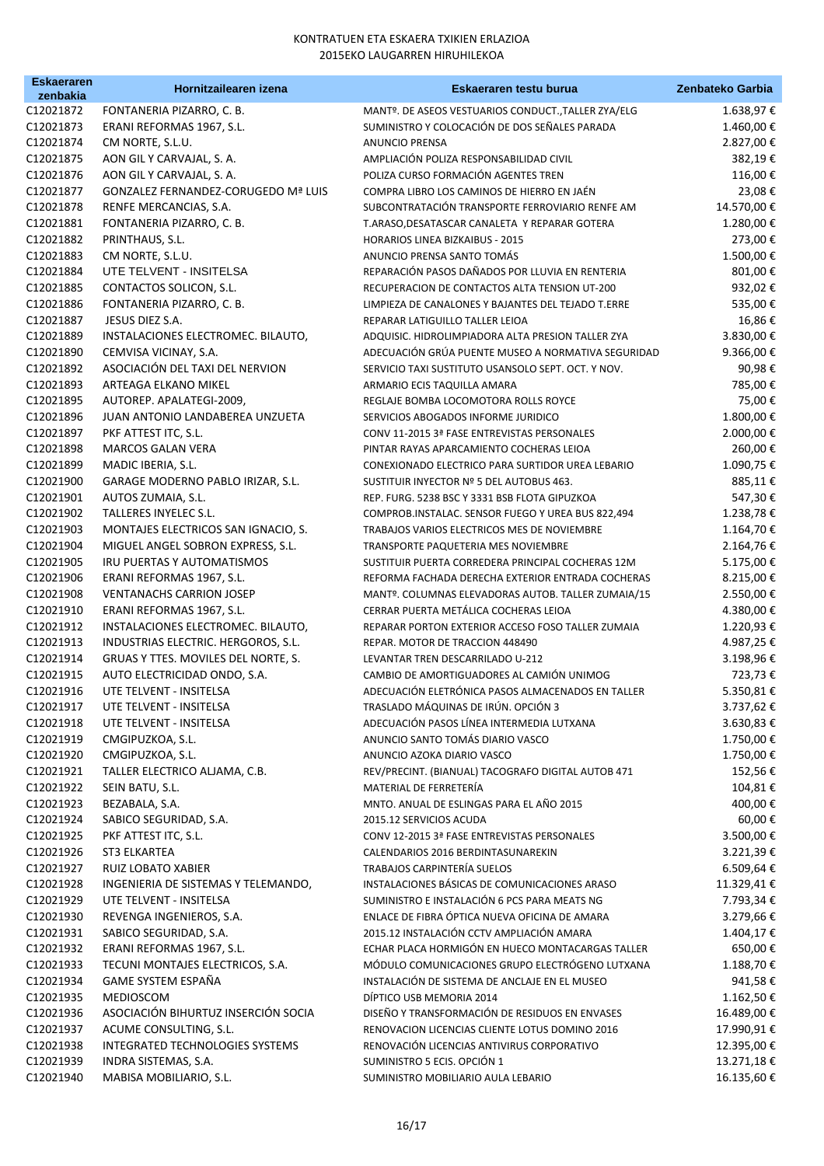| <b>Eskaeraren</b>      | Hornitzailearen izena                                    | Eskaeraren testu burua                                                                                  | Zenbateko Garbia       |
|------------------------|----------------------------------------------------------|---------------------------------------------------------------------------------------------------------|------------------------|
| zenbakia<br>C12021872  | FONTANERIA PIZARRO, C. B.                                |                                                                                                         |                        |
| C12021873              | ERANI REFORMAS 1967, S.L.                                | MANTº. DE ASEOS VESTUARIOS CONDUCT., TALLER ZYA/ELG<br>SUMINISTRO Y COLOCACIÓN DE DOS SEÑALES PARADA    | 1.638,97€<br>1.460,00€ |
| C12021874              | CM NORTE, S.L.U.                                         | <b>ANUNCIO PRENSA</b>                                                                                   | 2.827,00 €             |
| C12021875              | AON GIL Y CARVAJAL, S. A.                                | AMPLIACIÓN POLIZA RESPONSABILIDAD CIVIL                                                                 | 382,19€                |
| C12021876              | AON GIL Y CARVAJAL, S. A.                                | POLIZA CURSO FORMACIÓN AGENTES TREN                                                                     | 116,00€                |
| C12021877              | GONZALEZ FERNANDEZ-CORUGEDO Mª LUIS                      |                                                                                                         | 23,08€                 |
|                        |                                                          | COMPRA LIBRO LOS CAMINOS DE HIERRO EN JAÉN                                                              |                        |
| C12021878              | RENFE MERCANCIAS, S.A.                                   | SUBCONTRATACIÓN TRANSPORTE FERROVIARIO RENFE AM                                                         | 14.570,00€             |
| C12021881<br>C12021882 | FONTANERIA PIZARRO, C. B.<br>PRINTHAUS, S.L.             | T.ARASO, DESATASCAR CANALETA Y REPARAR GOTERA<br><b>HORARIOS LINEA BIZKAIBUS - 2015</b>                 | 1.280,00€              |
| C12021883              | CM NORTE, S.L.U.                                         | ANUNCIO PRENSA SANTO TOMÁS                                                                              | 273,00€<br>1.500,00€   |
| C12021884              | UTE TELVENT - INSITELSA                                  | REPARACIÓN PASOS DAÑADOS POR LLUVIA EN RENTERIA                                                         | 801,00€                |
| C12021885              |                                                          | RECUPERACION DE CONTACTOS ALTA TENSION UT-200                                                           | 932,02€                |
| C12021886              | CONTACTOS SOLICON, S.L.<br>FONTANERIA PIZARRO, C. B.     | LIMPIEZA DE CANALONES Y BAJANTES DEL TEJADO T.ERRE                                                      | 535,00€                |
| C12021887              | JESUS DIEZ S.A.                                          |                                                                                                         | 16,86€                 |
| C12021889              | INSTALACIONES ELECTROMEC. BILAUTO,                       | REPARAR LATIGUILLO TALLER LEIOA                                                                         | 3.830,00€              |
| C12021890              |                                                          | ADQUISIC. HIDROLIMPIADORA ALTA PRESION TALLER ZYA<br>ADECUACIÓN GRÚA PUENTE MUSEO A NORMATIVA SEGURIDAD | 9.366,00€              |
| C12021892              | CEMVISA VICINAY, S.A.<br>ASOCIACIÓN DEL TAXI DEL NERVION | SERVICIO TAXI SUSTITUTO USANSOLO SEPT. OCT. Y NOV.                                                      |                        |
| C12021893              | ARTEAGA ELKANO MIKEL                                     |                                                                                                         | 90,98€<br>785,00€      |
| C12021895              | AUTOREP. APALATEGI-2009,                                 | ARMARIO ECIS TAQUILLA AMARA                                                                             | 75,00€                 |
| C12021896              | JUAN ANTONIO LANDABEREA UNZUETA                          | REGLAJE BOMBA LOCOMOTORA ROLLS ROYCE                                                                    | 1.800,00€              |
| C12021897              |                                                          | SERVICIOS ABOGADOS INFORME JURIDICO                                                                     |                        |
|                        | PKF ATTEST ITC, S.L.                                     | CONV 11-2015 3ª FASE ENTREVISTAS PERSONALES                                                             | 2.000,00€              |
| C12021898<br>C12021899 | <b>MARCOS GALAN VERA</b><br>MADIC IBERIA, S.L.           | PINTAR RAYAS APARCAMIENTO COCHERAS LEIOA                                                                | 260,00€<br>1.090,75€   |
|                        |                                                          | CONEXIONADO ELECTRICO PARA SURTIDOR UREA LEBARIO                                                        |                        |
| C12021900<br>C12021901 | GARAGE MODERNO PABLO IRIZAR, S.L.<br>AUTOS ZUMAIA, S.L.  | SUSTITUIR INYECTOR Nº 5 DEL AUTOBUS 463.                                                                | 885,11€                |
| C12021902              | TALLERES INYELEC S.L.                                    | REP. FURG. 5238 BSC Y 3331 BSB FLOTA GIPUZKOA                                                           | 547,30€<br>1.238,78€   |
| C12021903              | MONTAJES ELECTRICOS SAN IGNACIO, S.                      | COMPROB.INSTALAC. SENSOR FUEGO Y UREA BUS 822,494                                                       | 1.164,70€              |
| C12021904              | MIGUEL ANGEL SOBRON EXPRESS, S.L.                        | TRABAJOS VARIOS ELECTRICOS MES DE NOVIEMBRE<br>TRANSPORTE PAQUETERIA MES NOVIEMBRE                      | 2.164,76€              |
| C12021905              | IRU PUERTAS Y AUTOMATISMOS                               | SUSTITUIR PUERTA CORREDERA PRINCIPAL COCHERAS 12M                                                       | 5.175,00€              |
| C12021906              | ERANI REFORMAS 1967, S.L.                                | REFORMA FACHADA DERECHA EXTERIOR ENTRADA COCHERAS                                                       | 8.215,00€              |
| C12021908              | <b>VENTANACHS CARRION JOSEP</b>                          | MANTº. COLUMNAS ELEVADORAS AUTOB. TALLER ZUMAIA/15                                                      | 2.550,00€              |
| C12021910              | ERANI REFORMAS 1967, S.L.                                | CERRAR PUERTA METÁLICA COCHERAS LEIOA                                                                   | 4.380,00 €             |
| C12021912              | INSTALACIONES ELECTROMEC. BILAUTO,                       | REPARAR PORTON EXTERIOR ACCESO FOSO TALLER ZUMAIA                                                       | 1.220,93€              |
| C12021913              | INDUSTRIAS ELECTRIC. HERGOROS, S.L.                      | REPAR. MOTOR DE TRACCION 448490                                                                         | 4.987,25€              |
| C12021914              | GRUAS Y TTES. MOVILES DEL NORTE, S.                      | LEVANTAR TREN DESCARRILADO U-212                                                                        | 3.198,96€              |
| C12021915              | AUTO ELECTRICIDAD ONDO, S.A.                             | CAMBIO DE AMORTIGUADORES AL CAMIÓN UNIMOG                                                               | 723,73€                |
| C12021916              | UTE TELVENT - INSITELSA                                  | ADECUACIÓN ELETRÓNICA PASOS ALMACENADOS EN TALLER                                                       | 5.350,81€              |
| C12021917              | UTE TELVENT - INSITELSA                                  | TRASLADO MÁQUINAS DE IRÚN. OPCIÓN 3                                                                     | 3.737,62€              |
| C12021918              | UTE TELVENT - INSITELSA                                  | ADECUACIÓN PASOS LÍNEA INTERMEDIA LUTXANA                                                               | 3.630,83 €             |
| C12021919              | CMGIPUZKOA, S.L.                                         | ANUNCIO SANTO TOMÁS DIARIO VASCO                                                                        | 1.750,00€              |
| C12021920              | CMGIPUZKOA, S.L.                                         | ANUNCIO AZOKA DIARIO VASCO                                                                              | 1.750,00€              |
| C12021921              | TALLER ELECTRICO ALJAMA, C.B.                            | REV/PRECINT. (BIANUAL) TACOGRAFO DIGITAL AUTOB 471                                                      | 152,56€                |
| C12021922              | SEIN BATU, S.L.                                          | MATERIAL DE FERRETERÍA                                                                                  | 104,81€                |
| C12021923              | BEZABALA, S.A.                                           | MNTO. ANUAL DE ESLINGAS PARA EL AÑO 2015                                                                | 400,00€                |
| C12021924              | SABICO SEGURIDAD, S.A.                                   | 2015.12 SERVICIOS ACUDA                                                                                 | 60,00€                 |
| C12021925              | PKF ATTEST ITC, S.L.                                     | CONV 12-2015 3ª FASE ENTREVISTAS PERSONALES                                                             | 3.500,00 €             |
| C12021926              | ST3 ELKARTEA                                             | CALENDARIOS 2016 BERDINTASUNAREKIN                                                                      | 3.221,39€              |
| C12021927              | <b>RUIZ LOBATO XABIER</b>                                | TRABAJOS CARPINTERÍA SUELOS                                                                             | 6.509,64€              |
| C12021928              | INGENIERIA DE SISTEMAS Y TELEMANDO,                      | INSTALACIONES BÁSICAS DE COMUNICACIONES ARASO                                                           | 11.329,41€             |
| C12021929              | UTE TELVENT - INSITELSA                                  | SUMINISTRO E INSTALACIÓN 6 PCS PARA MEATS NG                                                            | 7.793,34 €             |
| C12021930              | REVENGA INGENIEROS, S.A.                                 | ENLACE DE FIBRA ÓPTICA NUEVA OFICINA DE AMARA                                                           | 3.279,66€              |
| C12021931              | SABICO SEGURIDAD, S.A.                                   | 2015.12 INSTALACIÓN CCTV AMPLIACIÓN AMARA                                                               | 1.404,17€              |
| C12021932              | ERANI REFORMAS 1967, S.L.                                | ECHAR PLACA HORMIGÓN EN HUECO MONTACARGAS TALLER                                                        | 650,00€                |
| C12021933              | TECUNI MONTAJES ELECTRICOS, S.A.                         | MÓDULO COMUNICACIONES GRUPO ELECTRÓGENO LUTXANA                                                         | 1.188,70€              |
| C12021934              | <b>GAME SYSTEM ESPAÑA</b>                                | INSTALACIÓN DE SISTEMA DE ANCLAJE EN EL MUSEO                                                           | 941,58€                |
| C12021935              | <b>MEDIOSCOM</b>                                         | DÍPTICO USB MEMORIA 2014                                                                                | 1.162,50€              |
| C12021936              | ASOCIACIÓN BIHURTUZ INSERCIÓN SOCIA                      | DISEÑO Y TRANSFORMACIÓN DE RESIDUOS EN ENVASES                                                          | 16.489,00€             |
| C12021937              | ACUME CONSULTING, S.L.                                   | RENOVACION LICENCIAS CLIENTE LOTUS DOMINO 2016                                                          | 17.990,91€             |
| C12021938              | INTEGRATED TECHNOLOGIES SYSTEMS                          | RENOVACIÓN LICENCIAS ANTIVIRUS CORPORATIVO                                                              | 12.395,00 €            |
| C12021939              | INDRA SISTEMAS, S.A.                                     | SUMINISTRO 5 ECIS. OPCIÓN 1                                                                             | 13.271,18€             |
| C12021940              | MABISA MOBILIARIO, S.L.                                  | SUMINISTRO MOBILIARIO AULA LEBARIO                                                                      | 16.135,60€             |